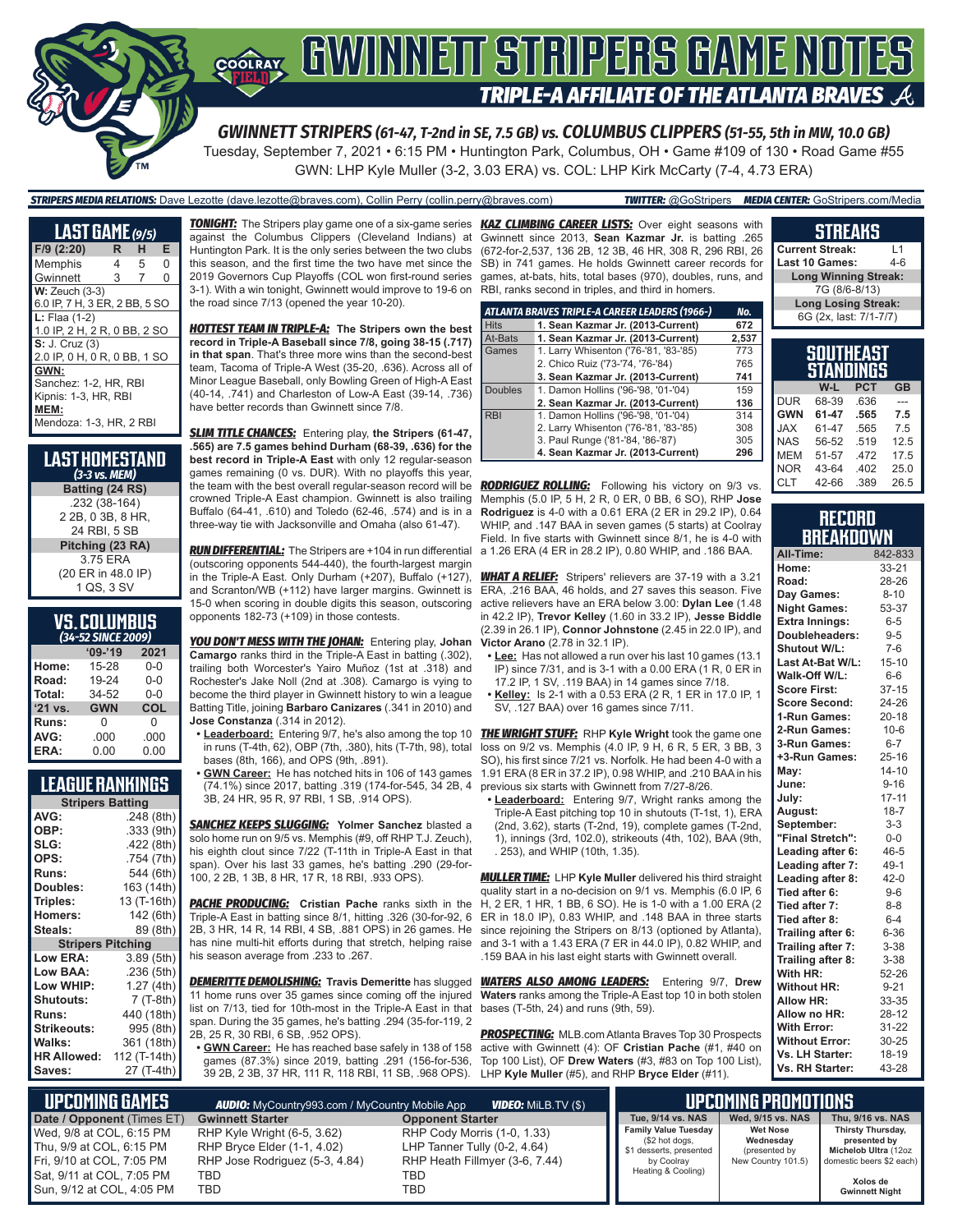

# **TRIPLE-A AFFILIATE OF THE ATLANTA BRAVES**

*GWINNETT STRIPERS (61-47, T-2nd in SE, 7.5 GB) vs. COLUMBUS CLIPPERS (51-55, 5th in MW, 10.0 GB)*

*STRIPERS MEDIA RELATIONS:* Dave Lezotte (dave.lezotte@braves.com), Collin Perry (collin.perry@braves.com) *TWITTER:* @GoStripers *MEDIA CENTER:* GoStripers.com/Media

Tuesday, September 7, 2021 • 6:15 PM • Huntington Park, Columbus, OH • Game #109 of 130 • Road Game #55 GWN: LHP Kyle Muller (3-2, 3.03 ERA) vs. COL: LHP Kirk McCarty (7-4, 4.73 ERA)

**LAST GAME** *(9/5)* **F/9 (2:20) R H E**

| Memphis                       | 4 | 5 | N |
|-------------------------------|---|---|---|
| Gwinnett                      | 3 | 7 | 0 |
| $W:$ Zeuch $(3-3)$            |   |   |   |
| 6.0 IP, 7 H, 3 ER, 2 BB, 5 SO |   |   |   |
| <b>L:</b> Flaa $(1-2)$        |   |   |   |
| 1.0 IP, 2 H, 2 R, 0 BB, 2 SO  |   |   |   |
| <b>S: J. Cruz (3)</b>         |   |   |   |
| 2.0 IP, 0 H, 0 R, 0 BB, 1 SO  |   |   |   |
| GWN:                          |   |   |   |
| Sanchez: 1-2, HR, RBI         |   |   |   |
| Kipnis: 1-3, HR, RBI          |   |   |   |
| MEM:                          |   |   |   |
| Mendoza: 1-3, HR, 2 RBI       |   |   |   |

#### **LAST HOMESTAND** *(3-3 vs. MEM)* **Batting (24 RS)** .232 (38-164) 2 2B, 0 3B, 8 HR, 24 RBI, 5 SB **Pitching (23 RA)** 3.75 ERA (20 ER in 48.0 IP) 1 QS, 3 SV

#### **VS. COLUMBUS**  *(34-52 SINCE 2009)*

| (194-32 JINCE 2009) |         |  |  |  |  |  |
|---------------------|---------|--|--|--|--|--|
| $'09-'19$           | 2021    |  |  |  |  |  |
| 15-28               | $0-0$   |  |  |  |  |  |
| 19-24               | $0 - 0$ |  |  |  |  |  |
| 34-52               | $0 - 0$ |  |  |  |  |  |
| <b>GWN</b>          | COL     |  |  |  |  |  |
| O                   | 0       |  |  |  |  |  |
| .000                | .000    |  |  |  |  |  |
| 0.00                | 0.00    |  |  |  |  |  |
|                     |         |  |  |  |  |  |

## **LEAGUE RANKINGS**

| <b>Stripers Batting</b>  |              |
|--------------------------|--------------|
| AVG:                     | .248 (8th)   |
| OBP:                     | .333 (9th)   |
| SLG:                     | .422 (8th)   |
| OPS:                     | .754 (7th)   |
| <b>Runs:</b>             | 544 (6th)    |
| <b>Doubles:</b>          | 163 (14th)   |
| Triples:                 | 13 (T-16th)  |
| <b>Homers:</b>           | 142 (6th)    |
| Steals:                  | 89 (8th)     |
| <b>Stripers Pitching</b> |              |
| <b>Low ERA:</b>          | 3.89 (5th)   |
| Low BAA:                 | .236 (5th)   |
| Low WHIP:                | 1.27 (4th)   |
| Shutouts:                | 7 (T-8th)    |
| <b>Runs:</b>             | 440 (18th)   |
| <b>Strikeouts:</b>       | 995 (8th)    |
| Walks:                   | 361 (18th)   |
| <b>HR Allowed:</b>       | 112 (T-14th) |
| Saves:                   | 27 (T-4th)   |

*TONIGHT:* The Stripers play game one of a six-game series *KAZ CLIMBING CAREER LISTS:* Over eight seasons with against the Columbus Clippers (Cleveland Indians) at Gwinnett since 2013, **Sean Kazmar Jr.** is batting .265 Huntington Park. It is the only series between the two clubs this season, and the first time the two have met since the 2019 Governors Cup Playoffs (COL won first-round series 3-1). With a win tonight, Gwinnett would improve to 19-6 on the road since 7/13 (opened the year 10-20).

*HOTTEST TEAM IN TRIPLE-A:* **The Stripers own the best record in Triple-A Baseball since 7/8, going 38-15 (.717) in that span**. That's three more wins than the second-best team, Tacoma of Triple-A West (35-20, .636). Across all of Minor League Baseball, only Bowling Green of High-A East (40-14, .741) and Charleston of Low-A East (39-14, .736) have better records than Gwinnett since 7/8.

*SLIM TITLE CHANCES:* Entering play, **the Stripers (61-47, .565) are 7.5 games behind Durham (68-39, .636) for the best record in Triple-A East** with only 12 regular-season games remaining (0 vs. DUR). With no playoffs this year, the team with the best overall regular-season record will be crowned Triple-A East champion. Gwinnett is also trailing Buffalo (64-41, .610) and Toledo (62-46, .574) and is in a three-way tie with Jacksonville and Omaha (also 61-47).

*RUN DIFFERENTIAL:* The Stripers are +104 in run differential (outscoring opponents 544-440), the fourth-largest margin in the Triple-A East. Only Durham (+207), Buffalo (+127), and Scranton/WB (+112) have larger margins. Gwinnett is 15-0 when scoring in double digits this season, outscoring opponents 182-73 (+109) in those contests.

*YOU DON'T MESS WITH THE JOHAN:* Entering play, **Johan Camargo** ranks third in the Triple-A East in batting (.302), trailing both Worcester's Yairo Muñoz (1st at .318) and Rochester's Jake Noll (2nd at .308). Camargo is vying to become the third player in Gwinnett history to win a league Batting Title, joining **Barbaro Canizares** (.341 in 2010) and **Jose Constanza** (.314 in 2012).

- **• Leaderboard:** Entering 9/7, he's also among the top 10 in runs (T-4th, 62), OBP (7th, .380), hits (T-7th, 98), total bases (8th, 166), and OPS (9th, .891).
- **• GWN Career:** He has notched hits in 106 of 143 games (74.1%) since 2017, batting .319 (174-for-545, 34 2B, 4 3B, 24 HR, 95 R, 97 RBI, 1 SB, .914 OPS).

*SANCHEZ KEEPS SLUGGING:* **Yolmer Sanchez** blasted a solo home run on 9/5 vs. Memphis (#9, off RHP T.J. Zeuch), his eighth clout since 7/22 (T-11th in Triple-A East in that span). Over his last 33 games, he's batting .290 (29-for-100, 2 2B, 1 3B, 8 HR, 17 R, 18 RBI, .933 OPS).

**PACHE PRODUCING:** Cristian Pache ranks sixth in the Triple-A East in batting since 8/1, hitting .326 (30-for-92, 6 ER in 18.0 IP), 0.83 WHIP, and .148 BAA in three starts 2B, 3 HR, 14 R, 14 RBI, 4 SB, .881 OPS) in 26 games. He has nine multi-hit efforts during that stretch, helping raise his season average from .233 to .267.

*DEMERITTE DEMOLISHING:* **Travis Demeritte** has slugged 11 home runs over 35 games since coming off the injured list on 7/13, tied for 10th-most in the Triple-A East in that bases (T-5th, 24) and runs (9th, 59). span. During the 35 games, he's batting .294 (35-for-119, 2 2B, 25 R, 30 RBI, 6 SB, .952 OPS).

**• GWN Career:** He has reached base safely in 138 of 158 games (87.3%) since 2019, batting .291 (156-for-536, 39 2B, 2 3B, 37 HR, 111 R, 118 RBI, 11 SB, .968 OPS). LHP **Kyle Muller** (#5), and RHP **Bryce Elder** (#11).

(672-for-2,537, 136 2B, 12 3B, 46 HR, 308 R, 296 RBI, 26 SB) in 741 games. He holds Gwinnett career records for games, at-bats, hits, total bases (970), doubles, runs, and RBI, ranks second in triples, and third in homers.

|                | ATLANTA BRAVES TRIPLE-A CAREER LEADERS (1966-) | No.   |
|----------------|------------------------------------------------|-------|
| <b>Hits</b>    | 1. Sean Kazmar Jr. (2013-Current)              | 672   |
| At-Bats        | 1. Sean Kazmar Jr. (2013-Current)              | 2,537 |
| Games          | 1. Larry Whisenton ('76-'81, '83-'85)          | 773   |
|                | 2. Chico Ruiz ('73-'74, '76-'84)               | 765   |
|                | 3. Sean Kazmar Jr. (2013-Current)              | 741   |
| <b>Doubles</b> | 1. Damon Hollins ('96-'98, '01-'04)            | 159   |
|                | 2. Sean Kazmar Jr. (2013-Current)              | 136   |
| <b>RBI</b>     | 1. Damon Hollins ('96-'98, '01-'04)            | 314   |
|                | 2. Larry Whisenton ('76-'81, '83-'85)          | 308   |
|                | 3. Paul Runge ('81-'84, '86-'87)               | 305   |
|                | 4. Sean Kazmar Jr. (2013-Current)              | 296   |

**RODRIGUEZ ROLLING:** Following his victory on 9/3 vs. Memphis (5.0 IP, 5 H, 2 R, 0 ER, 0 BB, 6 SO), RHP **Jose Rodriguez** is 4-0 with a 0.61 ERA (2 ER in 29.2 IP), 0.64 WHIP, and .147 BAA in seven games (5 starts) at Coolray Field. In five starts with Gwinnett since 8/1, he is 4-0 with a 1.26 ERA (4 ER in 28.2 IP), 0.80 WHIP, and .186 BAA.

*WHAT A RELIEF:* Stripers' relievers are 37-19 with a 3.21 ERA, .216 BAA, 46 holds, and 27 saves this season. Five active relievers have an ERA below 3.00: **Dylan Lee** (1.48 in 42.2 IP), **Trevor Kelley** (1.60 in 33.2 IP), **Jesse Biddle** (2.39 in 26.1 IP), **Connor Johnstone** (2.45 in 22.0 IP), and **Victor Arano** (2.78 in 32.1 IP).

- **• Lee:** Has not allowed a run over his last 10 games (13.1 IP) since 7/31, and is 3-1 with a 0.00 ERA (1 R, 0 ER in 17.2 IP, 1 SV, .119 BAA) in 14 games since 7/18.
- **• Kelley:** Is 2-1 with a 0.53 ERA (2 R, 1 ER in 17.0 IP, 1 SV, .127 BAA) over 16 games since 7/11.

*THE WRIGHT STUFF:* RHP **Kyle Wright** took the game one loss on 9/2 vs. Memphis (4.0 IP, 9 H, 6 R, 5 ER, 3 BB, 3 SO), his first since 7/21 vs. Norfolk. He had been 4-0 with a 1.91 ERA (8 ER in 37.2 IP), 0.98 WHIP, and .210 BAA in his previous six starts with Gwinnett from 7/27-8/26.

**• Leaderboard:** Entering 9/7, Wright ranks among the Triple-A East pitching top 10 in shutouts (T-1st, 1), ERA (2nd, 3.62), starts (T-2nd, 19), complete games (T-2nd, 1), innings (3rd, 102.0), strikeouts (4th, 102), BAA (9th, . 253), and WHIP (10th, 1.35).

*MULLER TIME:* LHP **Kyle Muller** delivered his third straight quality start in a no-decision on 9/1 vs. Memphis (6.0 IP, 6 H, 2 ER, 1 HR, 1 BB, 6 SO). He is 1-0 with a 1.00 ERA (2 since rejoining the Stripers on 8/13 (optioned by Atlanta), and 3-1 with a 1.43 ERA (7 ER in 44.0 IP), 0.82 WHIP, and .159 BAA in his last eight starts with Gwinnett overall.

*WATERS ALSO AMONG LEADERS:* Entering 9/7, **Drew Waters** ranks among the Triple-A East top 10 in both stolen

*PROSPECTING:* MLB.com Atlanta Braves Top 30 Prospects active with Gwinnett (4): OF **Cristian Pache** (#1, #40 on Top 100 List), OF **Drew Waters** (#3, #83 on Top 100 List),

#### **SOUTHEAST STANDINGS W-L PCT GB** DUR 68-39 .636 --- **Current Streak:** L1 **Last 10 Games: Long Winning Streak:** 7G (8/6-8/13) **Long Losing Streak:** 6G (2x, last: 7/1-7/7)

**STREAKS**

| DUR <sub></sub> | 68-39 | .636 | ---  |
|-----------------|-------|------|------|
| <b>GWN</b>      | 61-47 | .565 | 7.5  |
| <b>JAX</b>      | 61-47 | .565 | 7.5  |
| <b>NAS</b>      | 56-52 | .519 | 12.5 |
| <b>I</b> MEM    | 51-57 | .472 | 17.5 |
| <b>NOR</b>      | 43-64 | .402 | 25.0 |
| ICLT            | 42-66 | .389 | 26.5 |

#### **RECORD BREAKDOWN**

| All-Time:             | 842-833   |
|-----------------------|-----------|
| Home:                 | 33-21     |
| Road:                 | 28-26     |
| Day Games:            | $8 - 10$  |
| <b>Night Games:</b>   | 53-37     |
| <b>Extra Innings:</b> | $6 - 5$   |
| Doubleheaders:        | $9 - 5$   |
| Shutout W/L:          | $7-6$     |
| Last At-Bat W/L:      | $15 - 10$ |
| Walk-Off W/L:         | $6-6$     |
| <b>Score First:</b>   | $37 - 15$ |
| <b>Score Second:</b>  | 24-26     |
| 1-Run Games:          | $20 - 18$ |
| 2-Run Games:          | $10 - 6$  |
| 3-Run Games:          | $6 - 7$   |
| +3-Run Games:         | $25 - 16$ |
| Mav:                  | $14 - 10$ |
| June:                 | $9 - 16$  |
| July:                 | $17 - 11$ |
| August:               | $18 - 7$  |
| September:            | $3 - 3$   |
| "Final Stretch":      | $0-0$     |
| Leading after 6:      | $46 - 5$  |
| Leading after 7:      | $49-1$    |
| Leading after 8:      | $42 - 0$  |
| Tied after 6:         | $9 - 6$   |
| Tied after 7:         | $8 - 8$   |
| Tied after 8:         | $6 - 4$   |
| Trailing after 6:     | 6-36      |
| Trailing after 7:     | $3 - 38$  |
| Trailing after 8:     | $3 - 38$  |
| With HR:              | 52-26     |
| <b>Without HR:</b>    | $9 - 21$  |
| <b>Allow HR:</b>      | 33-35     |
| Allow no HR:          | 28-12     |
| <b>With Error:</b>    | 31-22     |
| <b>Without Error:</b> | 30-25     |
| Vs. LH Starter:       | 18-19     |
| Vs. RH Starter:       | 43-28     |

| <b>UPCOMING GAMES</b>                                                                                          | <b>AUDIO:</b> MyCountry993.com / MyCountry Mobile App                                               |                                                                                                        | UPCOMING PROMOTIONS                                                                                          |                                                                     |                                                                                       |
|----------------------------------------------------------------------------------------------------------------|-----------------------------------------------------------------------------------------------------|--------------------------------------------------------------------------------------------------------|--------------------------------------------------------------------------------------------------------------|---------------------------------------------------------------------|---------------------------------------------------------------------------------------|
| Date / Opponent (Times ET)                                                                                     | <b>Gwinnett Starter</b>                                                                             | <b>Opponent Starter</b>                                                                                | Tue, 9/14 vs. NAS                                                                                            | Wed. 9/15 vs. NAS                                                   | Thu, 9/16 vs. NAS                                                                     |
| Wed, 9/8 at COL, 6:15 PM<br>Thu, 9/9 at COL, 6:15 PM<br>Fri. 9/10 at COL. 7:05 PM<br>Sat, 9/11 at COL, 7:05 PM | RHP Kyle Wright (6-5, 3.62)<br>RHP Bryce Elder (1-1, 4.02)<br>RHP Jose Rodriguez (5-3, 4.84)<br>TBD | RHP Cody Morris (1-0, 1.33)<br>LHP Tanner Tully $(0-2, 4.64)$<br>RHP Heath Fillmyer (3-6, 7.44)<br>TBD | <b>Family Value Tuesday</b><br>(\$2 hot dogs,<br>\$1 desserts, presented<br>by Coolray<br>Heating & Cooling) | <b>Wet Nose</b><br>Wednesday<br>(presented by<br>New Country 101.5) | Thirsty Thursday,<br>presented by<br>Michelob Ultra (12oz<br>domestic beers \$2 each) |
| Sun, 9/12 at COL, 4:05 PM                                                                                      | TBD.                                                                                                | TBD                                                                                                    |                                                                                                              |                                                                     | Xolos de<br><b>Gwinnett Night</b>                                                     |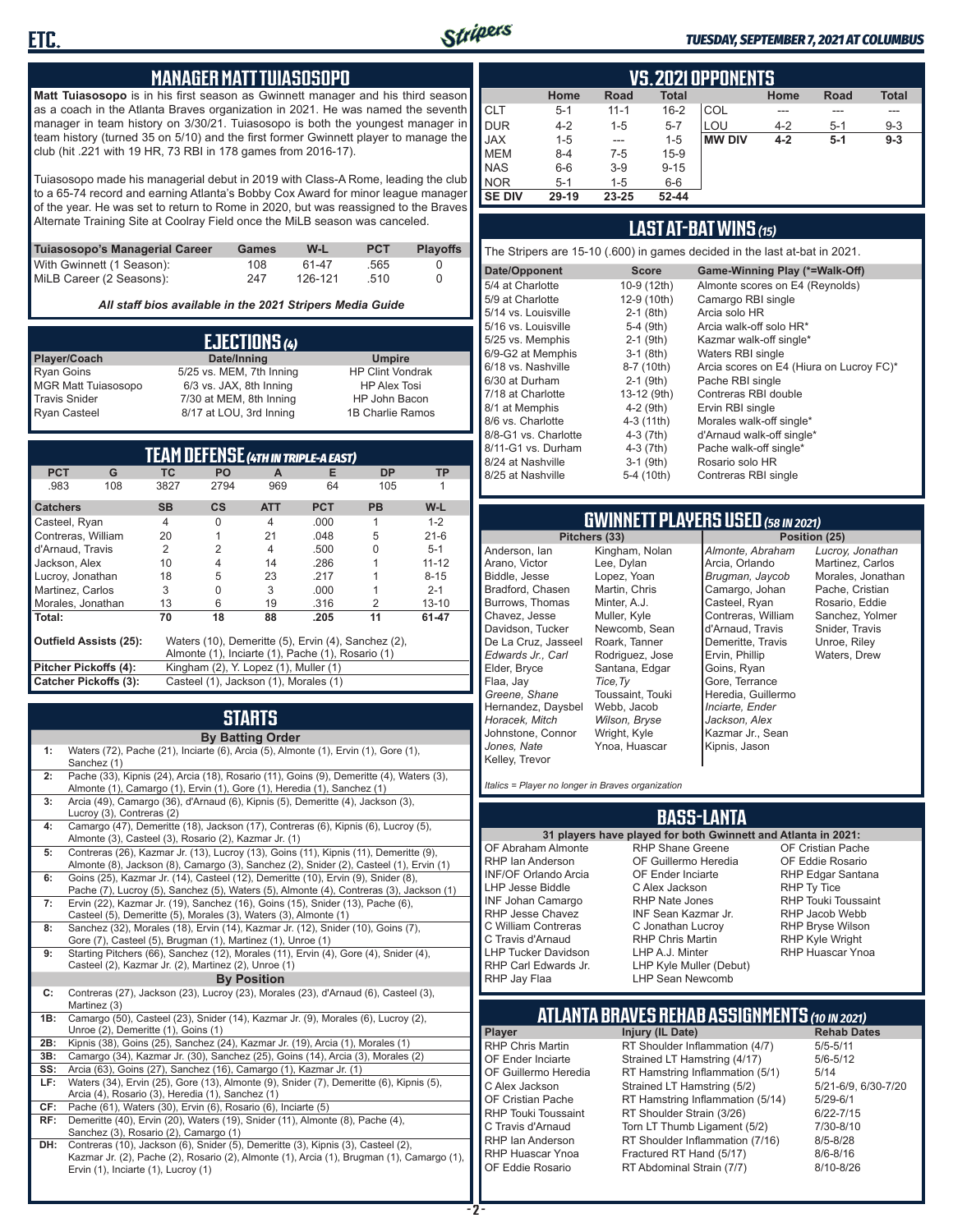

#### *TUESDAY, SEPTEMBER 7, 2021 AT COLUMBUS*

#### **MANAGER MATT TUIASOSOPO**

**Matt Tuiasosopo** is in his first season as Gwinnett manager and his third season as a coach in the Atlanta Braves organization in 2021. He was named the seventh manager in team history on 3/30/21. Tuiasosopo is both the youngest manager in team history (turned 35 on 5/10) and the first former Gwinnett player to manage the club (hit .221 with 19 HR, 73 RBI in 178 games from 2016-17).

Tuiasosopo made his managerial debut in 2019 with Class-A Rome, leading the club to a 65-74 record and earning Atlanta's Bobby Cox Award for minor league manager of the year. He was set to return to Rome in 2020, but was reassigned to the Braves Alternate Training Site at Coolray Field once the MiLB season was canceled.

| Tuiasosopo's Managerial Career | Games | W-L     | <b>PCT</b> | <b>Plavoffs</b> |
|--------------------------------|-------|---------|------------|-----------------|
| With Gwinnett (1 Season):      | 108   | 61-47   | .565       |                 |
| MiLB Career (2 Seasons):       | 247   | 126-121 | 510        |                 |

*All staff bios available in the 2021 Stripers Media Guide*

| EJECTIONS (4)              |                          |                         |  |  |  |  |
|----------------------------|--------------------------|-------------------------|--|--|--|--|
| Player/Coach               | Date/Inning              | <b>Umpire</b>           |  |  |  |  |
| <b>Ryan Goins</b>          | 5/25 vs. MEM, 7th Inning | <b>HP Clint Vondrak</b> |  |  |  |  |
| <b>MGR Matt Tuiasosopo</b> | 6/3 vs. JAX, 8th Inning  | <b>HP Alex Tosi</b>     |  |  |  |  |
| <b>Travis Snider</b>       | 7/30 at MEM, 8th Inning  | HP John Bacon           |  |  |  |  |
| <b>Ryan Casteel</b>        | 8/17 at LOU, 3rd Inning  | 1B Charlie Ramos        |  |  |  |  |

|                              |                                                                                      |                                                   |                                       |            | TEAM DEFENSE (4TH IN TRIPLE-A EAST) |           |           |
|------------------------------|--------------------------------------------------------------------------------------|---------------------------------------------------|---------------------------------------|------------|-------------------------------------|-----------|-----------|
| <b>PCT</b>                   | G                                                                                    | ТC                                                | <b>PO</b>                             | A          | Е                                   | <b>DP</b> | TP        |
| .983                         | 108                                                                                  | 3827                                              | 2794                                  | 969        | 64                                  | 105       |           |
| <b>Catchers</b>              |                                                                                      | <b>SB</b>                                         | <b>CS</b>                             | <b>ATT</b> | <b>PCT</b>                          | <b>PB</b> | $W-L$     |
| Casteel, Ryan                |                                                                                      | $\overline{4}$                                    | $\Omega$                              | 4          | .000                                | 1         | $1 - 2$   |
| Contreras, William           |                                                                                      | 20                                                | 1                                     | 21         | .048                                | 5         | $21 - 6$  |
| d'Arnaud, Travis             |                                                                                      | 2                                                 | $\overline{2}$                        | 4          | .500                                | U         | $5 - 1$   |
| Jackson, Alex                |                                                                                      | 10                                                | 4                                     | 14         | .286                                |           | $11 - 12$ |
| Lucroy, Jonathan             |                                                                                      | 18                                                | 5                                     | 23         | .217                                |           | $8 - 15$  |
| Martinez, Carlos             |                                                                                      | 3                                                 | $\Omega$                              | 3          | .000                                |           | $2 - 1$   |
| Morales, Jonathan            |                                                                                      | 13                                                | 6                                     | 19         | .316                                | 2         | $13 - 10$ |
| Total:                       |                                                                                      | 70                                                | 18                                    | 88         | .205                                | 11        | 61-47     |
|                              | <b>Outfield Assists (25):</b><br>Waters (10), Demeritte (5), Ervin (4), Sanchez (2), |                                                   |                                       |            |                                     |           |           |
|                              |                                                                                      | Almonte (1), Inciarte (1), Pache (1), Rosario (1) |                                       |            |                                     |           |           |
| Pitcher Pickoffs (4):        |                                                                                      |                                                   | Kingham (2), Y. Lopez (1), Muller (1) |            |                                     |           |           |
| <b>Catcher Pickoffs (3):</b> |                                                                                      | Casteel (1), Jackson (1), Morales (1)             |                                       |            |                                     |           |           |

# **STARTS**

|            | <b>By Batting Order</b>                                                                                                                                                         |
|------------|---------------------------------------------------------------------------------------------------------------------------------------------------------------------------------|
| 1:         | Waters (72), Pache (21), Inciarte (6), Arcia (5), Almonte (1), Ervin (1), Gore (1),<br>Sanchez (1)                                                                              |
| 2:         | Pache (33), Kipnis (24), Arcia (18), Rosario (11), Goins (9), Demeritte (4), Waters (3),<br>Almonte (1), Camargo (1), Ervin (1), Gore (1), Heredia (1), Sanchez (1)             |
| 3:         | Arcia (49), Camargo (36), d'Arnaud (6), Kipnis (5), Demeritte (4), Jackson (3),<br>Lucroy (3), Contreras (2)                                                                    |
| 4:         | Camargo (47), Demeritte (18), Jackson (17), Contreras (6), Kipnis (6), Lucroy (5),<br>Almonte (3), Casteel (3), Rosario (2), Kazmar Jr. (1)                                     |
| 5:         | Contreras (26), Kazmar Jr. (13), Lucroy (13), Goins (11), Kipnis (11), Demeritte (9),<br>Almonte (8), Jackson (8), Camargo (3), Sanchez (2), Snider (2), Casteel (1), Ervin (1) |
| 6:         | Goins (25), Kazmar Jr. (14), Casteel (12), Demeritte (10), Ervin (9), Snider (8),<br>Pache (7), Lucroy (5), Sanchez (5), Waters (5), Almonte (4), Contreras (3), Jackson (1)    |
| 7:         | Ervin (22), Kazmar Jr. (19), Sanchez (16), Goins (15), Snider (13), Pache (6),<br>Casteel (5), Demeritte (5), Morales (3), Waters (3), Almonte (1)                              |
| 8:         | Sanchez (32), Morales (18), Ervin (14), Kazmar Jr. (12), Snider (10), Goins (7),<br>Gore (7), Casteel (5), Brugman (1), Martinez (1), Unroe (1)                                 |
| 9:         | Starting Pitchers (66), Sanchez (12), Morales (11), Ervin (4), Gore (4), Snider (4),<br>Casteel (2), Kazmar Jr. (2), Martinez (2), Unroe (1)                                    |
|            | <b>By Position</b>                                                                                                                                                              |
| c:         | Contreras (27), Jackson (23), Lucroy (23), Morales (23), d'Arnaud (6), Casteel (3),<br>Martinez (3)                                                                             |
| 1B:        | Camargo (50), Casteel (23), Snider (14), Kazmar Jr. (9), Morales (6), Lucroy (2),<br>Unroe (2), Demeritte (1), Goins (1)                                                        |
| 2B:        | Kipnis (38), Goins (25), Sanchez (24), Kazmar Jr. (19), Arcia (1), Morales (1)                                                                                                  |
| 3B:        | Camargo (34), Kazmar Jr. (30), Sanchez (25), Goins (14), Arcia (3), Morales (2)                                                                                                 |
| SS:        | Arcia (63), Goins (27), Sanchez (16), Camargo (1), Kazmar Jr. (1)                                                                                                               |
| LF:        | Waters (34), Ervin (25), Gore (13), Almonte (9), Snider (7), Demeritte (6), Kipnis (5),                                                                                         |
|            | Arcia (4), Rosario (3), Heredia (1), Sanchez (1)                                                                                                                                |
| CF:<br>RF: | Pache (61), Waters (30), Ervin (6), Rosario (6), Inciarte (5)                                                                                                                   |
|            | Demeritte (40), Ervin (20), Waters (19), Snider (11), Almonte (8), Pache (4),<br>Sanchez (3), Rosario (2), Camargo (1)                                                          |
| DH:        | Contreras (10), Jackson (6), Snider (5), Demeritte (3), Kipnis (3), Casteel (2),                                                                                                |
|            | Kazmar Jr. (2), Pache (2), Rosario (2), Almonte (1), Arcia (1), Brugman (1), Camargo (1),                                                                                       |
|            | Ervin (1), Inciarte (1), Lucroy (1)                                                                                                                                             |

| VS.2021 OPPONENTS |         |           |              |               |         |             |              |
|-------------------|---------|-----------|--------------|---------------|---------|-------------|--------------|
|                   | Home    | Road      | <b>Total</b> |               | Home    | <b>Road</b> | <b>Total</b> |
| <b>CLT</b>        | $5 - 1$ | $11 - 1$  | $16 - 2$     | COL           | ---     |             | ---          |
| <b>DUR</b>        | $4 - 2$ | $1 - 5$   | $5 - 7$      | LOU           | $4 - 2$ | $5-1$       | $9 - 3$      |
| <b>JAX</b>        | $1 - 5$ | ---       | $1 - 5$      | <b>MW DIV</b> | $4 - 2$ | $5-1$       | $9 - 3$      |
| <b>MEM</b>        | $8 - 4$ | $7-5$     | $15-9$       |               |         |             |              |
| <b>NAS</b>        | $6-6$   | $3-9$     | $9 - 15$     |               |         |             |              |
| <b>NOR</b>        | $5 - 1$ | $1 - 5$   | $6-6$        |               |         |             |              |
| <b>SE DIV</b>     | 29-19   | $23 - 25$ | $52 - 44$    |               |         |             |              |

### **LAST AT-BAT WINS** *(15)*

The Stripers are 15-10 (.600) in games decided in the last at-bat in 2021.

| Date/Opponent        | <b>Score</b> | Game-Winning Play (*=Walk-Off)           |
|----------------------|--------------|------------------------------------------|
| 5/4 at Charlotte     | 10-9 (12th)  | Almonte scores on E4 (Reynolds)          |
| 5/9 at Charlotte     | 12-9 (10th)  | Camargo RBI single                       |
| 5/14 vs. Louisville  | $2-1$ (8th)  | Arcia solo HR                            |
| 5/16 vs. Louisville  | 5-4 (9th)    | Arcia walk-off solo HR*                  |
| 5/25 vs. Memphis     | $2-1$ (9th)  | Kazmar walk-off single*                  |
| 6/9-G2 at Memphis    | $3-1$ (8th)  | Waters RBI single                        |
| 6/18 vs. Nashville   | 8-7 (10th)   | Arcia scores on E4 (Hiura on Lucroy FC)* |
| 6/30 at Durham       | $2-1$ (9th)  | Pache RBI single                         |
| 7/18 at Charlotte    | 13-12 (9th)  | Contreras RBI double                     |
| 8/1 at Memphis       | $4-2$ (9th)  | Ervin RBI single                         |
| 8/6 vs. Charlotte    | 4-3 (11th)   | Morales walk-off single*                 |
| 8/8-G1 vs. Charlotte | $4-3(7th)$   | d'Arnaud walk-off single*                |
| 8/11-G1 vs. Durham   | $4-3$ (7th)  | Pache walk-off single*                   |
| 8/24 at Nashville    | $3-1$ (9th)  | Rosario solo HR                          |
| 8/25 at Nashville    | 5-4 (10th)   | Contreras RBI single                     |
|                      |              |                                          |

# **GWINNETT PLAYERS USED** *(58 IN 2021)*

**Pitchers (33)** Anderson, Ian Arano, Victor Biddle, Jesse Bradford, Chasen Burrows, Thomas Chavez, Jesse Davidson, Tucker De La Cruz, Jasseel *Edwards Jr., Carl* Elder, Bryce Flaa, Jay *Greene, Shane*  Hernandez, Daysbel *Horacek, Mitch* Johnstone, Connor *Jones, Nate* Kelley, Trevor Kingham, Nolan Lee, Dylan Lopez, Yoan Martin, Chris Minter, A.J. Muller, Kyle Newcomb, Sean Roark, Tanner Rodriguez, Jose Santana, Edgar *Tice,Ty* Toussaint, Touki Webb, Jacob *Wilson, Bryse* Wright, Kyle Ynoa, Huascar

*Almonte, Abraham* Arcia, Orlando *Brugman, Jaycob* Camargo, Johan Casteel, Ryan Contreras, William d'Arnaud, Travis Demeritte, Travis Ervin, Phillip Goins, Ryan Gore, Terrance Heredia, Guillermo *Inciarte, Ender Jackson, Alex* Kazmar Jr., Sean Kipnis, Jason

*Lucroy, Jonathan* Martinez, Carlos Morales, Jonathan Pache, Cristian Rosario, Eddie Sanchez, Yolmer Snider, Travis Unroe, Riley Waters, Drew

*Italics = Player no longer in Braves organization*

#### **BASS-LANTA**

#### OF Abraham Almonte RHP Ian Anderson INF/OF Orlando Arcia LHP Jesse Biddle INF Johan Camargo RHP Jesse Chavez C William Contreras C Travis d'Arnaud LHP Tucker Davidson RHP Carl Edwards Jr. RHP Jay Flaa

**31 players have played for both Gwinnett and Atlanta in 2021:** RHP Shane Greene OF Guillermo Heredia OF Ender Inciarte C Alex Jackson RHP Nate Jones INF Sean Kazmar Jr. C Jonathan Lucroy RHP Chris Martin LHP A.J. Minter LHP Kyle Muller (Debut) LHP Sean Newcomb

OF Cristian Pache OF Eddie Rosario RHP Edgar Santana RHP Ty Tice RHP Touki Toussaint RHP Jacob Webb RHP Bryse Wilson RHP Kyle Wright RHP Huascar Ynoa

# **ATLANTA BRAVES REHAB ASSIGNMENTS** *(10 IN 2021)*

**Player Injury (IL Date)** 

RHP Chris Martin RT Shoulder Inflammation (4/7) 5/5-5/11 OF Ender Inciarte Strained LT Hamstring (4/17)<br>OF Guillermo Heredia RT Hamstring Inflammation (5) RT Hamstring Inflammation (5/1) 5/14 C Alex Jackson Strained LT Hamstring (5/2) 5/21-6/9, 6/30-7/20 OF Cristian Pache RT Hamstring Inflammation (5/14) 5/29-6/1<br>RHP Touki Toussaint RT Shoulder Strain (3/26) 6/22-7/15 RHP Touki Toussaint RT Shoulder Strain (3/26) 6/22-7/15<br>C. Travis d'Arnaud C. Torn LT Thumb Ligament (5/2) 6/10-8/10 Torn LT Thumb Ligament (5/2) RHP Ian Anderson RT Shoulder Inflammation (7/16) 8/5-8/28<br>RHP Huascar Ynoa Fractured RT Hand (5/17) 8/6-8/16 RHP Huascar Ynoa Fractured RT Hand (5/17) 8/6-8/16 RT Abdominal Strain (7/7)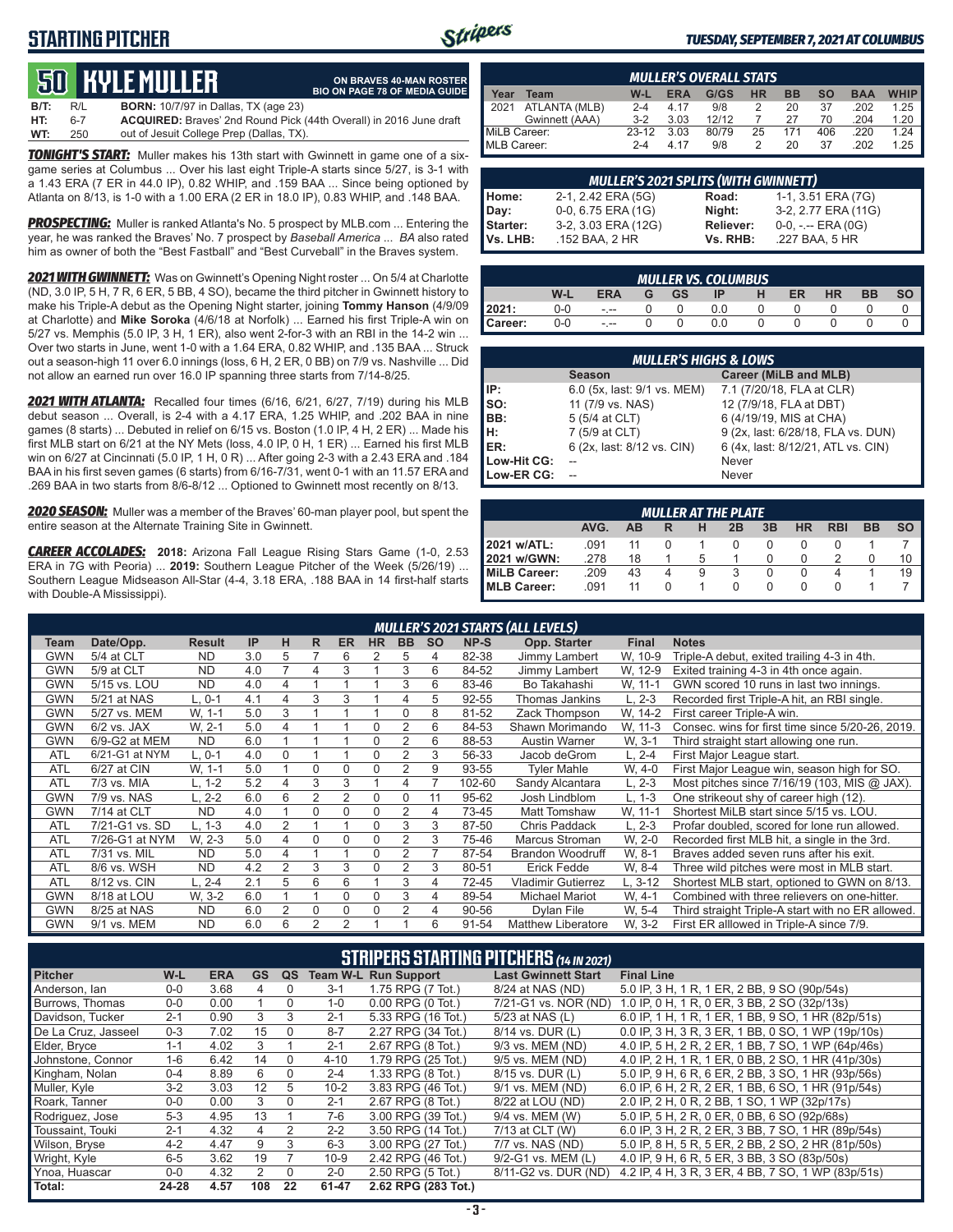## **STARTING PITCHER**



**ON BRAVES 40-MAN ROSTER BIO ON PAGE 78 OF MEDIA GUIDE**

#### *TUESDAY, SEPTEMBER 7, 2021 AT COLUMBUS*

# **50****KYLE MULLER**

| <b>B/T:</b> | R/L | <b>BORN:</b> 10/7/97 in Dallas, TX (age 23)                               |
|-------------|-----|---------------------------------------------------------------------------|
| HT:         | հ-7 | <b>ACQUIRED:</b> Braves' 2nd Round Pick (44th Overall) in 2016 June draft |
| WT:         | 250 | out of Jesuit College Prep (Dallas, TX).                                  |

*TONIGHT'S START:* Muller makes his 13th start with Gwinnett in game one of a sixgame series at Columbus ... Over his last eight Triple-A starts since 5/27, is 3-1 with a 1.43 ERA (7 ER in 44.0 IP), 0.82 WHIP, and .159 BAA ... Since being optioned by Atlanta on 8/13, is 1-0 with a 1.00 ERA (2 ER in 18.0 IP), 0.83 WHIP, and .148 BAA.

*PROSPECTING:* Muller is ranked Atlanta's No. 5 prospect by MLB.com ... Entering the year, he was ranked the Braves' No. 7 prospect by *Baseball America* ... *BA* also rated him as owner of both the "Best Fastball" and "Best Curveball" in the Braves system.

*2021 WITH GWINNETT:* Was on Gwinnett's Opening Night roster ... On 5/4 at Charlotte (ND, 3.0 IP, 5 H, 7 R, 6 ER, 5 BB, 4 SO), became the third pitcher in Gwinnett history to make his Triple-A debut as the Opening Night starter, joining **Tommy Hanson** (4/9/09 at Charlotte) and **Mike Soroka** (4/6/18 at Norfolk) ... Earned his first Triple-A win on 5/27 vs. Memphis (5.0 IP, 3 H, 1 ER), also went 2-for-3 with an RBI in the 14-2 win ... Over two starts in June, went 1-0 with a 1.64 ERA, 0.82 WHIP, and .135 BAA ... Struck out a season-high 11 over 6.0 innings (loss, 6 H, 2 ER, 0 BB) on 7/9 vs. Nashville ... Did not allow an earned run over 16.0 IP spanning three starts from 7/14-8/25.

*2021 WITH ATLANTA:* Recalled four times (6/16, 6/21, 6/27, 7/19) during his MLB debut season ... Overall, is 2-4 with a 4.17 ERA, 1.25 WHIP, and .202 BAA in nine games (8 starts) ... Debuted in relief on 6/15 vs. Boston (1.0 IP, 4 H, 2 ER) ... Made his first MLB start on 6/21 at the NY Mets (loss, 4.0 IP, 0 H, 1 ER) ... Earned his first MLB win on 6/27 at Cincinnati (5.0 IP, 1 H, 0 R) ... After going 2-3 with a 2.43 ERA and .184 BAA in his first seven games (6 starts) from 6/16-7/31, went 0-1 with an 11.57 ERA and .269 BAA in two starts from 8/6-8/12 ... Optioned to Gwinnett most recently on 8/13.

*2020 SEASON:* Muller was a member of the Braves' 60-man player pool, but spent the entire season at the Alternate Training Site in Gwinnett.

*CAREER ACCOLADES:* **2018:** Arizona Fall League Rising Stars Game (1-0, 2.53 ERA in 7G with Peoria) ... **2019:** Southern League Pitcher of the Week (5/26/19) ... Southern League Midseason All-Star (4-4, 3.18 ERA, .188 BAA in 14 first-half starts with Double-A Mississippi).

|              | <b>MULLER'S OVERALL STATS</b> |         |            |       |           |           |           |            |             |  |  |  |  |
|--------------|-------------------------------|---------|------------|-------|-----------|-----------|-----------|------------|-------------|--|--|--|--|
| Year         | <b>Team</b>                   | $W-L$   | <b>ERA</b> | G/GS  | <b>HR</b> | <b>BB</b> | <b>SO</b> | <b>BAA</b> | <b>WHIP</b> |  |  |  |  |
| 12021        | ATLANTA (MLB)                 | $2 - 4$ | 4.17       | 9/8   |           | 20        | 37        | .202       | 1.25        |  |  |  |  |
|              | Gwinnett (AAA)                | $3-2$   | 3.03       | 12/12 |           | 27        | 70        | .204       | 1.20        |  |  |  |  |
| MiLB Career: |                               | 23-12   | 3.03       | 80/79 | 25        | 171       | 406       | 220        | 1 24        |  |  |  |  |
| MLB Career:  |                               | $2 - 4$ | 4 17       | 9/8   |           | 20        | 37        | 202        | 1.25        |  |  |  |  |

| <b>MULLER'S 2021 SPLITS (WITH GWINNETT)</b> |                     |           |                       |  |  |  |  |  |  |  |
|---------------------------------------------|---------------------|-----------|-----------------------|--|--|--|--|--|--|--|
| Home:                                       | 2-1, 2.42 ERA (5G)  | Road:     | 1-1, 3.51 ERA (7G)    |  |  |  |  |  |  |  |
| Day:                                        | 0-0, 6.75 ERA (1G)  | Night:    | 3-2, 2.77 ERA (11G)   |  |  |  |  |  |  |  |
| Starter:                                    | 3-2, 3.03 ERA (12G) | Reliever: | $0-0, - -$ ERA $(0G)$ |  |  |  |  |  |  |  |
| Vs. LHB:                                    | .152 BAA, 2 HR      | Vs. RHB:  | .227 BAA, 5 HR        |  |  |  |  |  |  |  |

|                                                                                             | <b>MULLER VS. COLUMBUS</b> |      |  |  |     |  |  |  |  |  |  |  |  |
|---------------------------------------------------------------------------------------------|----------------------------|------|--|--|-----|--|--|--|--|--|--|--|--|
| <b>SO</b><br><b>BB</b><br>W-L<br>ER<br><b>HR</b><br><b>ERA</b><br><b>GS</b><br>н<br>ΙP<br>G |                            |      |  |  |     |  |  |  |  |  |  |  |  |
| 2021:                                                                                       | $0 - 0$                    | $ -$ |  |  | 0.0 |  |  |  |  |  |  |  |  |
| Career:                                                                                     | $0-0$                      | $ -$ |  |  | 0.0 |  |  |  |  |  |  |  |  |

| <b>MULLER'S HIGHS &amp; LOWS</b> |                             |                                    |  |  |  |  |  |  |  |
|----------------------------------|-----------------------------|------------------------------------|--|--|--|--|--|--|--|
|                                  | <b>Season</b>               | <b>Career (MiLB and MLB)</b>       |  |  |  |  |  |  |  |
| IP:                              | 6.0 (5x, last: 9/1 vs. MEM) | 7.1 (7/20/18, FLA at CLR)          |  |  |  |  |  |  |  |
| so:                              | 11 (7/9 vs. NAS)            | 12 (7/9/18, FLA at DBT)            |  |  |  |  |  |  |  |
| BB:                              | 5 (5/4 at CLT)              | 6 (4/19/19, MIS at CHA)            |  |  |  |  |  |  |  |
| IH:                              | 7 (5/9 at CLT)              | 9 (2x, last: 6/28/18, FLA vs. DUN) |  |  |  |  |  |  |  |
| <b>IER:</b>                      | 6 (2x, last: 8/12 vs. CIN)  | 6 (4x, last: 8/12/21, ATL vs. CIN) |  |  |  |  |  |  |  |
| Low-Hit CG:                      |                             | Never                              |  |  |  |  |  |  |  |
| Low-ER CG:                       |                             | Never                              |  |  |  |  |  |  |  |

|                    | <b>MULLER AT THE PLATE</b>                                                            |    |          |   |   |          |              |                  |  |    |  |  |  |  |
|--------------------|---------------------------------------------------------------------------------------|----|----------|---|---|----------|--------------|------------------|--|----|--|--|--|--|
|                    | <b>SO</b><br><b>BB</b><br>AVG.<br>3B<br><b>HR</b><br><b>RBI</b><br>2B<br>ΔR<br>н<br>R |    |          |   |   |          |              |                  |  |    |  |  |  |  |
| 2021 w/ATL:        | .091                                                                                  | 11 | $\Omega$ |   | 0 | $\Omega$ | $\Omega$     | $\mathbf{I}$     |  |    |  |  |  |  |
| 2021 w/GWN:        | .278                                                                                  | 18 |          | 5 |   |          | $\Omega$     |                  |  | 10 |  |  |  |  |
| MiLB Career:       | .209                                                                                  | 43 | 4        | 9 |   |          | $\Omega$     | 4                |  | 19 |  |  |  |  |
| <b>MLB Career:</b> | 091                                                                                   | 11 |          |   | 0 | $\cup$   | $\mathbf{O}$ | $\left( \right)$ |  |    |  |  |  |  |

|            | <b>MULLER'S 2021 STARTS (ALL LEVELS)</b> |               |     |          |          |                |          |                |           |        |                           |              |                                                   |  |
|------------|------------------------------------------|---------------|-----|----------|----------|----------------|----------|----------------|-----------|--------|---------------------------|--------------|---------------------------------------------------|--|
| Team       | Date/Opp.                                | <b>Result</b> | IP  | н        | R.       | <b>ER</b>      | HR.      | <b>BB</b>      | <b>SO</b> | NP-S   | Opp. Starter              | <b>Final</b> | <b>Notes</b>                                      |  |
| <b>GWN</b> | 5/4 at CLT                               | <b>ND</b>     | 3.0 | 5        |          | 6              | 2        | 5              | 4         | 82-38  | Jimmy Lambert             | W, 10-9      | Triple-A debut, exited trailing 4-3 in 4th.       |  |
| GWN        | 5/9 at CLT                               | <b>ND</b>     | 4.0 |          | 4        | 3              |          | 3              | 6         | 84-52  | Jimmy Lambert             | W. 12-9      | Exited training 4-3 in 4th once again.            |  |
| GWN        | 5/15 vs. LOU                             | <b>ND</b>     | 4.0 | 4        |          |                |          | 3              | 6         | 83-46  | Bo Takahashi              | W, 11-1      | GWN scored 10 runs in last two innings.           |  |
| GWN        | 5/21 at NAS                              | $L.0-1$       | 4.1 | 4        | 3        | 3              |          |                | 5         | 92-55  | Thomas Jankins            | $L. 2-3$     | Recorded first Triple-A hit, an RBI single.       |  |
| GWN        | 5/27 vs. MEM                             | W. 1-1        | 5.0 | 3        |          |                |          | O              | 8         | 81-52  | Zack Thompson             | W. 14-2      | First career Triple-A win.                        |  |
| <b>GWN</b> | $6/2$ vs. JAX                            | W. 2-1        | 5.0 | 4        |          |                | 0        | $\overline{2}$ | 6         | 84-53  | Shawn Morimando           | W. 11-3      | Consec. wins for first time since 5/20-26, 2019.  |  |
| <b>GWN</b> | 6/9-G2 at MEM                            | <b>ND</b>     | 6.0 |          |          |                | $\Omega$ | $\overline{2}$ | 6         | 88-53  | Austin Warner             | W. 3-1       | Third straight start allowing one run.            |  |
| <b>ATL</b> | 6/21-G1 at NYM                           | $L. 0-1$      | 4.0 | $\Omega$ |          |                | 0        | 2              | 3         | 56-33  | Jacob deGrom              | L, 2-4       | First Major League start.                         |  |
| <b>ATL</b> | 6/27 at CIN                              | W. 1-1        | 5.0 |          | $\Omega$ | $\Omega$       | $\Omega$ | $\overline{2}$ | 9         | 93-55  | <b>Tyler Mahle</b>        | W, 4-0       | First Major League win, season high for SO.       |  |
| <b>ATL</b> | 7/3 vs. MIA                              | L, 1-2        | 5.2 | 4        | 3        | 3              |          | 4              |           | 102-60 | Sandy Alcantara           | $L, 2-3$     | Most pitches since 7/16/19 (103, MIS @ JAX).      |  |
| GWN        | 7/9 vs. NAS                              | L. 2-2        | 6.0 | 6        | 2        | $\overline{2}$ | 0        | $\Omega$       | 11        | 95-62  | Josh Lindblom             | L. 1-3       | One strikeout shy of career high (12).            |  |
| <b>GWN</b> | 7/14 at CLT                              | <b>ND</b>     | 4.0 |          | $\Omega$ | $\Omega$       | $\Omega$ | $\overline{2}$ | 4         | 73-45  | Matt Tomshaw              | W. 11-1      | Shortest MiLB start since 5/15 vs. LOU.           |  |
| <b>ATL</b> | 7/21-G1 vs. SD                           | L. 1-3        | 4.0 | 2        |          |                | $\Omega$ | 3              | 3         | 87-50  | Chris Paddack             | $L, 2-3$     | Profar doubled, scored for lone run allowed.      |  |
| <b>ATL</b> | 7/26-G1 at NYM                           | W. 2-3        | 5.0 | 4        | $\Omega$ | $\Omega$       | $\Omega$ | $\overline{2}$ | 3         | 75-46  | Marcus Stroman            | W. 2-0       | Recorded first MLB hit, a single in the 3rd.      |  |
| <b>ATL</b> | 7/31 vs. MIL                             | <b>ND</b>     | 5.0 | 4        |          |                | $\Omega$ | 2              |           | 87-54  | <b>Brandon Woodruff</b>   | W. 8-1       | Braves added seven runs after his exit.           |  |
| <b>ATL</b> | 8/6 vs. WSH                              | <b>ND</b>     | 4.2 | 2        | 3        | 3              | $\Omega$ | $\overline{2}$ | 3         | 80-51  | <b>Erick Fedde</b>        | W. 8-4       | Three wild pitches were most in MLB start.        |  |
| <b>ATL</b> | 8/12 vs. CIN                             | L. 2-4        | 2.1 | 5        | 6        | 6              |          | 3              | 4         | 72-45  | Vladimir Gutierrez        | L, 3-12      | Shortest MLB start, optioned to GWN on 8/13.      |  |
| GWN        | 8/18 at LOU                              | W. 3-2        | 6.0 |          |          | $\Omega$       | $\Omega$ | 3              | 4         | 89-54  | <b>Michael Mariot</b>     | W. 4-1       | Combined with three relievers on one-hitter.      |  |
| <b>GWN</b> | 8/25 at NAS                              | <b>ND</b>     | 6.0 | 2        | $\Omega$ | $\Omega$       | $\Omega$ | 2              | 4         | 90-56  | Dylan File                | W. 5-4       | Third straight Triple-A start with no ER allowed. |  |
| GWN        | 9/1 vs. MEM                              | <b>ND</b>     | 6.0 | 6        | 2        | $\overline{2}$ |          |                | 6         | 91-54  | <b>Matthew Liberatore</b> | W. 3-2       | First ER alllowed in Triple-A since 7/9.          |  |

| <b>STRIPERS STARTING PITCHERS (14 IN 2021)</b> |         |            |           |          |          |                             |                            |                                                    |  |  |  |
|------------------------------------------------|---------|------------|-----------|----------|----------|-----------------------------|----------------------------|----------------------------------------------------|--|--|--|
| <b>Pitcher</b>                                 | W-L     | <b>ERA</b> | <b>GS</b> | QS       |          | <b>Team W-L Run Support</b> | <b>Last Gwinnett Start</b> | <b>Final Line</b>                                  |  |  |  |
| Anderson, lan                                  | $0 - 0$ | 3.68       | 4         | $\Omega$ | $3 - 1$  | 1.75 RPG (7 Tot.)           | 8/24 at NAS (ND)           | 5.0 IP, 3 H, 1 R, 1 ER, 2 BB, 9 SO (90p/54s)       |  |  |  |
| Burrows, Thomas                                | $0-0$   | 0.00       |           | $\Omega$ | $1 - 0$  | $0.00$ RPG $(0$ Tot.)       | 7/21-G1 vs. NOR (ND)       | 1.0 IP, 0 H, 1 R, 0 ER, 3 BB, 2 SO (32p/13s)       |  |  |  |
| Davidson, Tucker                               | $2 - 1$ | 0.90       | 3         | 3        | $2 - 1$  | 5.33 RPG (16 Tot.)          | 5/23 at NAS (L)            | 6.0 IP, 1 H, 1 R, 1 ER, 1 BB, 9 SO, 1 HR (82p/51s) |  |  |  |
| De La Cruz. Jasseel                            | $0 - 3$ | 7.02       | 15        | $\Omega$ | $8 - 7$  | 2.27 RPG (34 Tot.)          | 8/14 vs. DUR (L)           | 0.0 IP, 3 H, 3 R, 3 ER, 1 BB, 0 SO, 1 WP (19p/10s) |  |  |  |
| Elder, Bryce                                   | $1 - 1$ | 4.02       | 3         |          | $2 - 1$  | 2.67 RPG (8 Tot.)           | 9/3 vs. MEM (ND)           | 4.0 IP, 5 H, 2 R, 2 ER, 1 BB, 7 SO, 1 WP (64p/46s) |  |  |  |
| Johnstone, Connor                              | $1 - 6$ | 6.42       | 14        | $\Omega$ | $4 - 10$ | 1.79 RPG (25 Tot.)          | 9/5 vs. MEM (ND)           | 4.0 IP, 2 H, 1 R, 1 ER, 0 BB, 2 SO, 1 HR (41p/30s) |  |  |  |
| Kingham, Nolan                                 | $0 - 4$ | 8.89       | 6         | $\Omega$ | $2 - 4$  | 1.33 RPG (8 Tot.)           | 8/15 vs. DUR (L)           | 5.0 IP, 9 H, 6 R, 6 ER, 2 BB, 3 SO, 1 HR (93p/56s) |  |  |  |
| Muller, Kyle                                   | $3 - 2$ | 3.03       | 12        | 5.       | $10 - 2$ | 3.83 RPG (46 Tot.)          | 9/1 vs. MEM (ND)           | 6.0 IP, 6 H, 2 R, 2 ER, 1 BB, 6 SO, 1 HR (91p/54s) |  |  |  |
| Roark, Tanner                                  | $0 - 0$ | 0.00       | 3         | $\Omega$ | $2 - 1$  | 2.67 RPG (8 Tot.)           | 8/22 at LOU (ND)           | 2.0 IP, 2 H, 0 R, 2 BB, 1 SO, 1 WP (32p/17s)       |  |  |  |
| Rodriguez, Jose                                | $5-3$   | 4.95       | 13        |          | 7-6      | 3.00 RPG (39 Tot.)          | 9/4 vs. MEM (W)            | 5.0 IP, 5 H, 2 R, 0 ER, 0 BB, 6 SO (92p/68s)       |  |  |  |
| Toussaint, Touki                               | $2 - 1$ | 4.32       | 4         | 2        | $2 - 2$  | 3.50 RPG (14 Tot.)          | 7/13 at CLT (W)            | 6.0 IP, 3 H, 2 R, 2 ER, 3 BB, 7 SO, 1 HR (89p/54s) |  |  |  |
| Wilson, Bryse                                  | $4 - 2$ | 4.47       | 9         | 3        | $6 - 3$  | 3.00 RPG (27 Tot.)          | 7/7 vs. NAS (ND)           | 5.0 IP, 8 H, 5 R, 5 ER, 2 BB, 2 SO, 2 HR (81p/50s) |  |  |  |
| Wright, Kyle                                   | $6-5$   | 3.62       | 19        |          | $10 - 9$ | 2.42 RPG (46 Tot.)          | 9/2-G1 vs. MEM (L)         | 4.0 IP, 9 H, 6 R, 5 ER, 3 BB, 3 SO (83p/50s)       |  |  |  |
| Ynoa, Huascar                                  | $0 - 0$ | 4.32       | 2         | $\Omega$ | $2 - 0$  | 2.50 RPG (5 Tot.)           | 8/11-G2 vs. DUR (ND)       | 4.2 IP, 4 H, 3 R, 3 ER, 4 BB, 7 SO, 1 WP (83p/51s) |  |  |  |
| Total:                                         | 24-28   | 4.57       | 108       | 22       | 61-47    | 2.62 RPG (283 Tot.)         |                            |                                                    |  |  |  |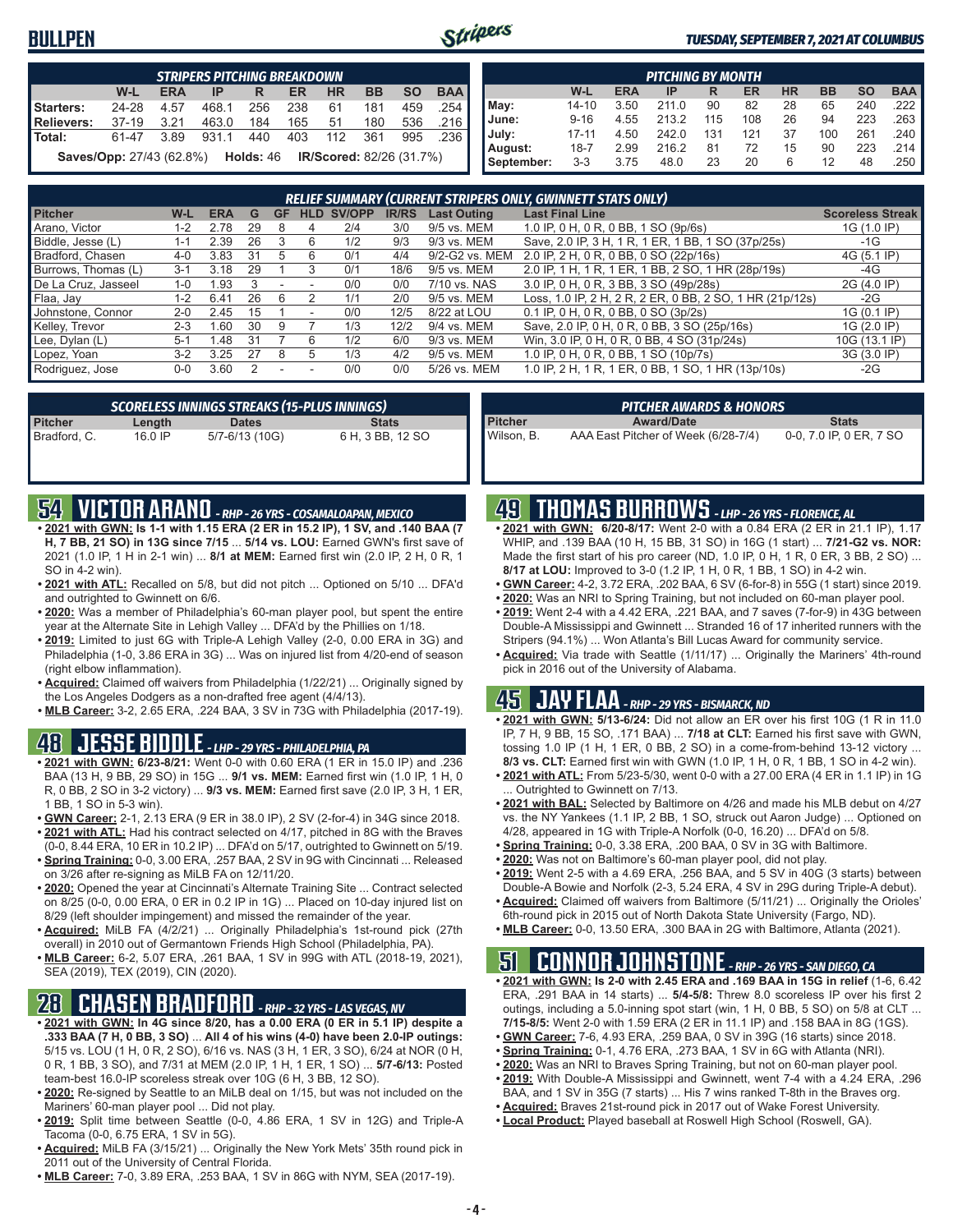## **BULLPEN**



#### *TUESDAY, SEPTEMBER 7, 2021 AT COLUMBUS*

|                                                                                            | STRIPERS PITCHING BREAKDOWN                                                         |      |       |     |     |     |     |     |      |  |  |  |  |
|--------------------------------------------------------------------------------------------|-------------------------------------------------------------------------------------|------|-------|-----|-----|-----|-----|-----|------|--|--|--|--|
| <b>BAA</b><br>$W-L$<br><b>ERA</b><br><b>BB</b><br><b>SO</b><br><b>HR</b><br>ER<br>IP<br>R. |                                                                                     |      |       |     |     |     |     |     |      |  |  |  |  |
| Starters:                                                                                  | 24-28                                                                               | 4.57 | 468.1 | 256 | 238 | 61  | 181 | 459 | .254 |  |  |  |  |
| Relievers:                                                                                 | $37-19$                                                                             | 3.21 | 463.0 | 184 | 165 | 51  | 180 | 536 | .216 |  |  |  |  |
| i Total:                                                                                   | 61-47                                                                               | 3.89 | 931.1 | 440 | 403 | 112 | 361 | 995 | .236 |  |  |  |  |
|                                                                                            | <b>IR/Scored: 82/26 (31.7%)</b><br><b>Saves/Opp:</b> 27/43 (62.8%) <b>Holds:</b> 46 |      |       |     |     |     |     |     |      |  |  |  |  |

|            | <b>PITCHING BY MONTH</b>                                                                |      |       |     |     |    |     |     |                       |  |  |  |  |
|------------|-----------------------------------------------------------------------------------------|------|-------|-----|-----|----|-----|-----|-----------------------|--|--|--|--|
|            | <b>BAA</b><br><b>SO</b><br><b>HR</b><br><b>BB</b><br>W-L<br><b>ERA</b><br>ER<br>IP<br>R |      |       |     |     |    |     |     |                       |  |  |  |  |
| May:       | $14 - 10$                                                                               | 3.50 | 211.0 | 90  | 82  | 28 | 65  | 240 | $.222$ $\blacksquare$ |  |  |  |  |
| June:      | $9 - 16$                                                                                | 4.55 | 213.2 | 115 | 108 | 26 | 94  | 223 | $.263$ $\blacksquare$ |  |  |  |  |
| July:      | $17 - 11$                                                                               | 4.50 | 242.0 | 131 | 121 | 37 | 100 | 261 | .240                  |  |  |  |  |
| August:    | $18 - 7$                                                                                | 2.99 | 216.2 | 81  | 72  | 15 | 90  | 223 | .214 I                |  |  |  |  |
| September: | $3-3$                                                                                   | 3.75 | 48.0  | 23  | 20  | 6  | 12  | 48  | .250                  |  |  |  |  |

|                     | <b>RELIEF SUMMARY (CURRENT STRIPERS ONLY, GWINNETT STATS ONLY)</b> |            |     |    |            |        |              |                    |                                                          |                         |  |  |
|---------------------|--------------------------------------------------------------------|------------|-----|----|------------|--------|--------------|--------------------|----------------------------------------------------------|-------------------------|--|--|
| <b>Pitcher</b>      | W-L                                                                | <b>ERA</b> | G   | GF | <b>HLD</b> | SV/OPP | <b>IR/RS</b> | <b>Last Outing</b> | <b>Last Final Line</b>                                   | <b>Scoreless Streak</b> |  |  |
| Arano, Victor       | $1 - 2$                                                            | 2.78       | 29  | 8  | 4          | 2/4    | 3/0          | 9/5 vs. MEM        | 1.0 IP, 0 H, 0 R, 0 BB, 1 SO (9p/6s)                     | 1G (1.0 IP)             |  |  |
| Biddle, Jesse (L)   | $1 - 1$                                                            | 2.39       | 26  |    | 6          | 1/2    | 9/3          | 9/3 vs. MEM        | Save, 2.0 IP, 3 H, 1 R, 1 ER, 1 BB, 1 SO (37p/25s)       | -1G                     |  |  |
| Bradford, Chasen    | $4 - 0$                                                            | 3.83       | -31 |    | 6          | 0/1    | 4/4          | 9/2-G2 vs. MEM     | 2.0 IP, 2 H, 0 R, 0 BB, 0 SO (22p/16s)                   | 4G (5.1 IP)             |  |  |
| Burrows, Thomas (L) | $3 - 1$                                                            | 3.18       | 29  |    | 3          | 0/1    | 18/6         | 9/5 vs. MEM        | 2.0 IP, 1 H, 1 R, 1 ER, 1 BB, 2 SO, 1 HR (28p/19s)       | $-4G$                   |  |  |
| De La Cruz, Jasseel | $1 - 0$                                                            | .93        |     |    | -          | 0/0    | 0/0          | 7/10 vs. NAS       | 3.0 IP, 0 H, 0 R, 3 BB, 3 SO (49p/28s)                   | 2G (4.0 IP)             |  |  |
| Flaa, Jay           | $1 - 2$                                                            | 6.41       | 26  | 6  |            | 1/1    | 2/0          | 9/5 vs. MEM        | Loss, 1.0 IP, 2 H, 2 R, 2 ER, 0 BB, 2 SO, 1 HR (21p/12s) | $-2G$                   |  |  |
| Johnstone, Connor   | $2 - 0$                                                            | 2.45       | 15  |    |            | 0/0    | 12/5         | 8/22 at LOU        | $0.1$ IP, 0 H, 0 R, 0 BB, 0 SO (3p/2s)                   | 1G (0.1 IP)             |  |  |
| Kelley, Trevor      | $2 - 3$                                                            | .60        | 30  | 9  |            | 1/3    | 12/2         | 9/4 vs. MEM        | Save, 2.0 IP, 0 H, 0 R, 0 BB, 3 SO (25p/16s)             | 1G (2.0 IP)             |  |  |
| Lee, Dylan (L)      | $5-1$                                                              | .48        | 31  |    | 6          | 1/2    | 6/0          | 9/3 vs. MEM        | Win, 3.0 IP, 0 H, 0 R, 0 BB, 4 SO (31p/24s)              | 10G (13.1 IP)           |  |  |
| Lopez, Yoan         | $3-2$                                                              | 3.25       | 27  | 8  | 5          | 1/3    | 4/2          | 9/5 vs. MEM        | 1.0 IP, 0 H, 0 R, 0 BB, 1 SO (10p/7s)                    | 3G (3.0 IP)             |  |  |
| Rodriguez, Jose     | 0-0                                                                | 3.60       |     |    |            | 0/0    | 0/0          | 5/26 vs. MEM       | 1.0 IP, 2 H, 1 R, 1 ER, 0 BB, 1 SO, 1 HR (13p/10s)       | $-2G$                   |  |  |

| SCORELESS INNINGS STREAKS (15-PLUS INNINGS) |           |                |                  |  |  |  |  |  |
|---------------------------------------------|-----------|----------------|------------------|--|--|--|--|--|
| Pitcher                                     | Length    | <b>Dates</b>   | <b>Stats</b>     |  |  |  |  |  |
| l Bradford. C.                              | $16.0$ IP | 5/7-6/13 (10G) | 6 H, 3 BB, 12 SO |  |  |  |  |  |

| <b>PITCHER AWARDS &amp; HONORS</b> |                                     |                         |  |  |  |  |  |  |  |
|------------------------------------|-------------------------------------|-------------------------|--|--|--|--|--|--|--|
| Pitcher                            | <b>Award/Date</b>                   | <b>Stats</b>            |  |  |  |  |  |  |  |
| Wilson, B.                         | AAA East Pitcher of Week (6/28-7/4) | 0-0, 7.0 IP, 0 ER, 7 SO |  |  |  |  |  |  |  |

# **54 VICTOR ARANO** *- RHP - 26 YRS - COSAMALOAPAN, MEXICO*

- **• 2021 with GWN: Is 1-1 with 1.15 ERA (2 ER in 15.2 IP), 1 SV, and .140 BAA (7 H, 7 BB, 21 SO) in 13G since 7/15** ... **5/14 vs. LOU:** Earned GWN's first save of 2021 (1.0 IP, 1 H in 2-1 win) ... **8/1 at MEM:** Earned first win (2.0 IP, 2 H, 0 R, 1 SO in 4-2 win).
- **• 2021 with ATL:** Recalled on 5/8, but did not pitch ... Optioned on 5/10 ... DFA'd and outrighted to Gwinnett on 6/6.
- **• 2020:** Was a member of Philadelphia's 60-man player pool, but spent the entire year at the Alternate Site in Lehigh Valley ... DFA'd by the Phillies on 1/18.
- **• 2019:** Limited to just 6G with Triple-A Lehigh Valley (2-0, 0.00 ERA in 3G) and Philadelphia (1-0, 3.86 ERA in 3G) ... Was on injured list from 4/20-end of season (right elbow inflammation).
- **• Acquired:** Claimed off waivers from Philadelphia (1/22/21) ... Originally signed by the Los Angeles Dodgers as a non-drafted free agent (4/4/13).
- **• MLB Career:** 3-2, 2.65 ERA, .224 BAA, 3 SV in 73G with Philadelphia (2017-19).

## **48 JESSE BIDDLE** *- LHP - 29 YRS - PHILADELPHIA, PA*

- **• 2021 with GWN: 6/23-8/21:** Went 0-0 with 0.60 ERA (1 ER in 15.0 IP) and .236 BAA (13 H, 9 BB, 29 SO) in 15G ... **9/1 vs. MEM:** Earned first win (1.0 IP, 1 H, 0 R, 0 BB, 2 SO in 3-2 victory) ... **9/3 vs. MEM:** Earned first save (2.0 IP, 3 H, 1 ER, 1 BB, 1 SO in 5-3 win).
- **• GWN Career:** 2-1, 2.13 ERA (9 ER in 38.0 IP), 2 SV (2-for-4) in 34G since 2018. **• 2021 with ATL:** Had his contract selected on 4/17, pitched in 8G with the Braves
- (0-0, 8.44 ERA, 10 ER in 10.2 IP) ... DFA'd on 5/17, outrighted to Gwinnett on 5/19. **• Spring Training:** 0-0, 3.00 ERA, .257 BAA, 2 SV in 9G with Cincinnati ... Released on 3/26 after re-signing as MiLB FA on 12/11/20.
- **• 2020:** Opened the year at Cincinnati's Alternate Training Site ... Contract selected on 8/25 (0-0, 0.00 ERA, 0 ER in 0.2 IP in 1G) ... Placed on 10-day injured list on 8/29 (left shoulder impingement) and missed the remainder of the year.
- **• Acquired:** MiLB FA (4/2/21) ... Originally Philadelphia's 1st-round pick (27th overall) in 2010 out of Germantown Friends High School (Philadelphia, PA).
- **• MLB Career:** 6-2, 5.07 ERA, .261 BAA, 1 SV in 99G with ATL (2018-19, 2021), SEA (2019), TEX (2019), CIN (2020).

## **28 CHASEN BRADFORD** *- RHP - 32 YRS - LAS VEGAS, NV*

- **• 2021 with GWN: In 4G since 8/20, has a 0.00 ERA (0 ER in 5.1 IP) despite a .333 BAA (7 H, 0 BB, 3 SO)** ... **All 4 of his wins (4-0) have been 2.0-IP outings:** 5/15 vs. LOU (1 H, 0 R, 2 SO), 6/16 vs. NAS (3 H, 1 ER, 3 SO), 6/24 at NOR (0 H, 0 R, 1 BB, 3 SO), and 7/31 at MEM (2.0 IP, 1 H, 1 ER, 1 SO) ... **5/7-6/13:** Posted team-best 16.0-IP scoreless streak over 10G (6 H, 3 BB, 12 SO).
- **• 2020:** Re-signed by Seattle to an MiLB deal on 1/15, but was not included on the Mariners' 60-man player pool ... Did not play.
- **• 2019:** Split time between Seattle (0-0, 4.86 ERA, 1 SV in 12G) and Triple-A Tacoma (0-0, 6.75 ERA, 1 SV in 5G).
- **• Acquired:** MiLB FA (3/15/21) ... Originally the New York Mets' 35th round pick in 2011 out of the University of Central Florida.
- **• MLB Career:** 7-0, 3.89 ERA, .253 BAA, 1 SV in 86G with NYM, SEA (2017-19).

# **49 THOMAS BURROWS** *- LHP - 26 YRS - FLORENCE, AL*

- **• 2021 with GWN: 6/20-8/17:** Went 2-0 with a 0.84 ERA (2 ER in 21.1 IP), 1.17 WHIP, and .139 BAA (10 H, 15 BB, 31 SO) in 16G (1 start) ... **7/21-G2 vs. NOR:** Made the first start of his pro career (ND, 1.0 IP, 0 H, 1 R, 0 ER, 3 BB, 2 SO) ... **8/17 at LOU:** Improved to 3-0 (1.2 IP, 1 H, 0 R, 1 BB, 1 SO) in 4-2 win.
- **• GWN Career:** 4-2, 3.72 ERA, .202 BAA, 6 SV (6-for-8) in 55G (1 start) since 2019.
- **• 2020:** Was an NRI to Spring Training, but not included on 60-man player pool.
- **• 2019:** Went 2-4 with a 4.42 ERA, .221 BAA, and 7 saves (7-for-9) in 43G between Double-A Mississippi and Gwinnett ... Stranded 16 of 17 inherited runners with the Stripers (94.1%) ... Won Atlanta's Bill Lucas Award for community service.
- **• Acquired:** Via trade with Seattle (1/11/17) ... Originally the Mariners' 4th-round pick in 2016 out of the University of Alabama.

# **45 JAY FLAA** *- RHP - 29 YRS - BISMARCK, ND*

- **• 2021 with GWN: 5/13-6/24:** Did not allow an ER over his first 10G (1 R in 11.0 IP, 7 H, 9 BB, 15 SO, .171 BAA) ... **7/18 at CLT:** Earned his first save with GWN, tossing 1.0 IP (1 H, 1 ER, 0 BB, 2 SO) in a come-from-behind 13-12 victory ... **8/3 vs. CLT:** Earned first win with GWN (1.0 IP, 1 H, 0 R, 1 BB, 1 SO in 4-2 win).
- **• 2021 with ATL:** From 5/23-5/30, went 0-0 with a 27.00 ERA (4 ER in 1.1 IP) in 1G ... Outrighted to Gwinnett on 7/13.
- **• 2021 with BAL:** Selected by Baltimore on 4/26 and made his MLB debut on 4/27 vs. the NY Yankees (1.1 IP, 2 BB, 1 SO, struck out Aaron Judge) ... Optioned on 4/28, appeared in 1G with Triple-A Norfolk (0-0, 16.20) ... DFA'd on 5/8.
- **• Spring Training:** 0-0, 3.38 ERA, .200 BAA, 0 SV in 3G with Baltimore.
- **• 2020:** Was not on Baltimore's 60-man player pool, did not play.
- **• 2019:** Went 2-5 with a 4.69 ERA, .256 BAA, and 5 SV in 40G (3 starts) between Double-A Bowie and Norfolk (2-3, 5.24 ERA, 4 SV in 29G during Triple-A debut).
- **• Acquired:** Claimed off waivers from Baltimore (5/11/21) ... Originally the Orioles' 6th-round pick in 2015 out of North Dakota State University (Fargo, ND).
- **• MLB Career:** 0-0, 13.50 ERA, .300 BAA in 2G with Baltimore, Atlanta (2021).

## **51 CONNOR JOHNSTONE** *- RHP - 26 YRS - SAN DIEGO, CA*

- **• 2021 with GWN: Is 2-0 with 2.45 ERA and .169 BAA in 15G in relief** (1-6, 6.42 ERA, .291 BAA in 14 starts) ... **5/4-5/8:** Threw 8.0 scoreless IP over his first 2 outings, including a 5.0-inning spot start (win, 1 H, 0 BB, 5 SO) on 5/8 at CLT ... **7/15-8/5:** Went 2-0 with 1.59 ERA (2 ER in 11.1 IP) and .158 BAA in 8G (1GS).
- **• GWN Career:** 7-6, 4.93 ERA, .259 BAA, 0 SV in 39G (16 starts) since 2018.
- **• Spring Training:** 0-1, 4.76 ERA, .273 BAA, 1 SV in 6G with Atlanta (NRI).
- **• 2020:** Was an NRI to Braves Spring Training, but not on 60-man player pool.
- **• 2019:** With Double-A Mississippi and Gwinnett, went 7-4 with a 4.24 ERA, .296
	- BAA, and 1 SV in 35G (7 starts) ... His 7 wins ranked T-8th in the Braves org.
- **• Acquired:** Braves 21st-round pick in 2017 out of Wake Forest University.
- **• Local Product:** Played baseball at Roswell High School (Roswell, GA).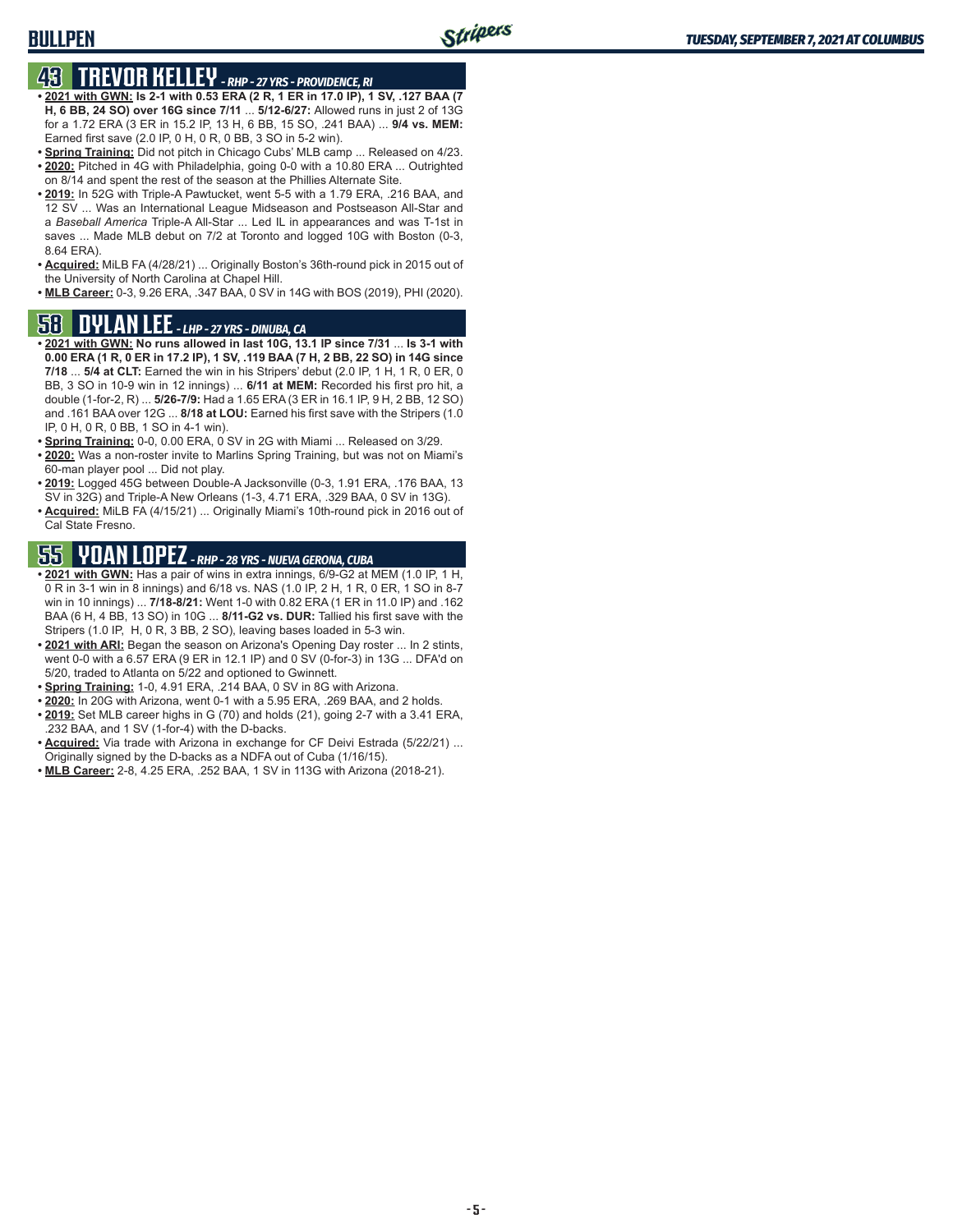## **BULLPEN**

# **43 TREVOR KELLEY** *- RHP - 27 YRS - PROVIDENCE, RI*

- **• 2021 with GWN: Is 2-1 with 0.53 ERA (2 R, 1 ER in 17.0 IP), 1 SV, .127 BAA (7 H, 6 BB, 24 SO) over 16G since 7/11** ... **5/12-6/27:** Allowed runs in just 2 of 13G for a 1.72 ERA (3 ER in 15.2 IP, 13 H, 6 BB, 15 SO, .241 BAA) ... **9/4 vs. MEM:** Earned first save (2.0 IP, 0 H, 0 R, 0 BB, 3 SO in 5-2 win).
- **• Spring Training:** Did not pitch in Chicago Cubs' MLB camp ... Released on 4/23. **• 2020:** Pitched in 4G with Philadelphia, going 0-0 with a 10.80 ERA ... Outrighted on 8/14 and spent the rest of the season at the Phillies Alternate Site.
- **• 2019:** In 52G with Triple-A Pawtucket, went 5-5 with a 1.79 ERA, .216 BAA, and 12 SV ... Was an International League Midseason and Postseason All-Star and a *Baseball America* Triple-A All-Star ... Led IL in appearances and was T-1st in saves ... Made MLB debut on 7/2 at Toronto and logged 10G with Boston (0-3, 8.64 ERA).
- **• Acquired:** MiLB FA (4/28/21) ... Originally Boston's 36th-round pick in 2015 out of the University of North Carolina at Chapel Hill.
- **• MLB Career:** 0-3, 9.26 ERA, .347 BAA, 0 SV in 14G with BOS (2019), PHI (2020).

## **58 DYLAN LEE** *- LHP - 27 YRS - DINUBA, CA*

- **• 2021 with GWN: No runs allowed in last 10G, 13.1 IP since 7/31** ... **Is 3-1 with 0.00 ERA (1 R, 0 ER in 17.2 IP), 1 SV, .119 BAA (7 H, 2 BB, 22 SO) in 14G since 7/18** ... **5/4 at CLT:** Earned the win in his Stripers' debut (2.0 IP, 1 H, 1 R, 0 ER, 0 BB, 3 SO in 10-9 win in 12 innings) ... **6/11 at MEM:** Recorded his first pro hit, a double (1-for-2, R) ... **5/26-7/9:** Had a 1.65 ERA (3 ER in 16.1 IP, 9 H, 2 BB, 12 SO) and .161 BAA over 12G ... **8/18 at LOU:** Earned his first save with the Stripers (1.0 IP, 0 H, 0 R, 0 BB, 1 SO in 4-1 win).
- **• Spring Training:** 0-0, 0.00 ERA, 0 SV in 2G with Miami ... Released on 3/29.
- **• 2020:** Was a non-roster invite to Marlins Spring Training, but was not on Miami's 60-man player pool ... Did not play.
- **• 2019:** Logged 45G between Double-A Jacksonville (0-3, 1.91 ERA, .176 BAA, 13 SV in 32G) and Triple-A New Orleans (1-3, 4.71 ERA, .329 BAA, 0 SV in 13G).
- **• Acquired:** MiLB FA (4/15/21) ... Originally Miami's 10th-round pick in 2016 out of Cal State Fresno.

# **55 YOAN LOPEZ** *- RHP - 28 YRS - NUEVA GERONA, CUBA*

- **• 2021 with GWN:** Has a pair of wins in extra innings, 6/9-G2 at MEM (1.0 IP, 1 H, 0 R in 3-1 win in 8 innings) and 6/18 vs. NAS (1.0 IP, 2 H, 1 R, 0 ER, 1 SO in 8-7 win in 10 innings) ... **7/18-8/21:** Went 1-0 with 0.82 ERA (1 ER in 11.0 IP) and .162 BAA (6 H, 4 BB, 13 SO) in 10G ... **8/11-G2 vs. DUR:** Tallied his first save with the Stripers (1.0 IP, H, 0 R, 3 BB, 2 SO), leaving bases loaded in 5-3 win.
- **• 2021 with ARI:** Began the season on Arizona's Opening Day roster ... In 2 stints, went 0-0 with a 6.57 ERA (9 ER in 12.1 IP) and 0 SV (0-for-3) in 13G ... DFA'd on 5/20, traded to Atlanta on 5/22 and optioned to Gwinnett.
- **• Spring Training:** 1-0, 4.91 ERA, .214 BAA, 0 SV in 8G with Arizona.
- **• 2020:** In 20G with Arizona, went 0-1 with a 5.95 ERA, .269 BAA, and 2 holds. **• 2019:** Set MLB career highs in G (70) and holds (21), going 2-7 with a 3.41 ERA,
- .232 BAA, and 1 SV (1-for-4) with the D-backs. **• Acquired:** Via trade with Arizona in exchange for CF Deivi Estrada (5/22/21) ... Originally signed by the D-backs as a NDFA out of Cuba (1/16/15).
- **• MLB Career:** 2-8, 4.25 ERA, .252 BAA, 1 SV in 113G with Arizona (2018-21).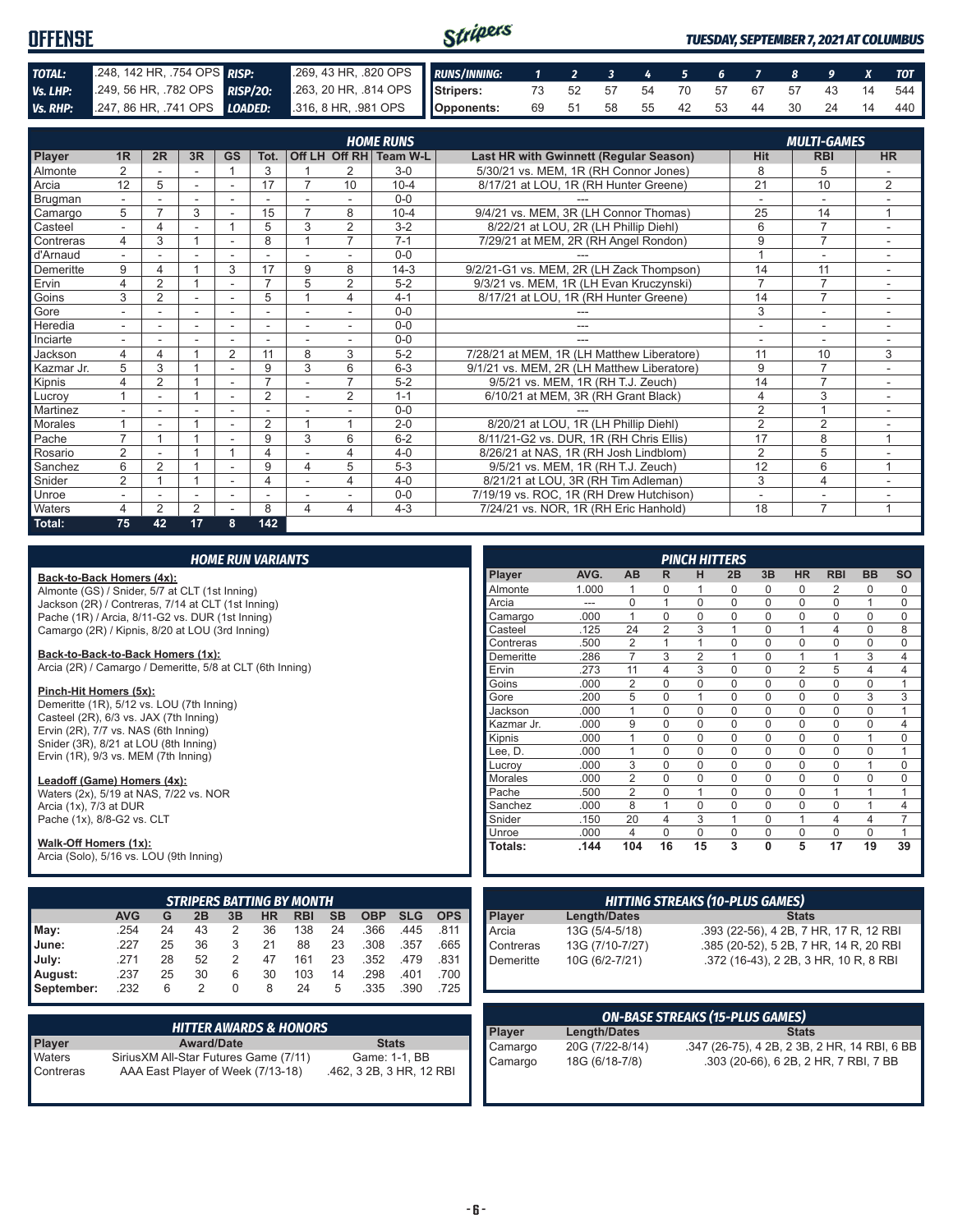| <b>OFFENSE</b> |  | Stripers<br><b>TUESDAY, SEPTEMBER 7, 2021 AT COLUMBUS</b>                                    |  |  |  |  |  |  |  |  |  |                                   |
|----------------|--|----------------------------------------------------------------------------------------------|--|--|--|--|--|--|--|--|--|-----------------------------------|
| TOTAL:         |  | 2009, 142 HR, 754 OPS RISP: 269, 43 HR, 820 OPS RUNS/INNING: 1 2 3 4 5 6 7 8 9 X TOT         |  |  |  |  |  |  |  |  |  |                                   |
| Vs. LHP:       |  | 249, 56 HR, 782 OPS RISP/20: 263, 20 HR, 814 OPS Stripers: 73 52 57 54 70 57 67 57 43 14 544 |  |  |  |  |  |  |  |  |  |                                   |
|                |  | Vs. RHP: 247, 86 HR, 741 OPS LOADED: 316, 8 HR, 981 OPS Opponents:                           |  |  |  |  |  |  |  |  |  | 69 51 58 55 42 53 44 30 24 14 440 |

|            | <b>HOME RUNS</b><br><b>MULTI-GAMES</b> |                |    |                |                |                |                |                        |                                            |                |                |                |
|------------|----------------------------------------|----------------|----|----------------|----------------|----------------|----------------|------------------------|--------------------------------------------|----------------|----------------|----------------|
| Player     | 1R                                     | 2R             | 3R | <b>GS</b>      | Tot.           |                |                | Off LH Off RH Team W-L | Last HR with Gwinnett (Regular Season)     | <b>Hit</b>     | <b>RBI</b>     | <b>HR</b>      |
| Almonte    | $\mathfrak{p}$                         |                |    |                | 3              |                | 2              | $3-0$                  | 5/30/21 vs. MEM, 1R (RH Connor Jones)      | 8              | 5              |                |
| Arcia      | 12                                     | 5              |    | ٠              | 17             |                | 10             | $10 - 4$               | 8/17/21 at LOU, 1R (RH Hunter Greene)      | 21             | 10             | $\overline{2}$ |
| Brugman    |                                        |                |    |                |                |                |                | $0 - 0$                |                                            |                | $\overline{a}$ |                |
| Camargo    | 5                                      | $\overline{ }$ | 3  |                | 15             | $\overline{7}$ | 8              | $10 - 4$               | 9/4/21 vs. MEM, 3R (LH Connor Thomas)      | 25             | 14             | $\overline{A}$ |
| Casteel    | $\sim$                                 | 4              |    |                | 5              | 3              | $\overline{2}$ | $3 - 2$                | 8/22/21 at LOU, 2R (LH Phillip Diehl)      | 6              | 7              | $\sim$         |
| Contreras  | 4                                      | 3              |    |                | 8              |                | $\overline{7}$ | $7 - 1$                | 7/29/21 at MEM, 2R (RH Angel Rondon)       | 9              | $\overline{7}$ | ۰              |
| d'Arnaud   |                                        |                |    |                |                |                |                | $0 - 0$                |                                            |                | ÷              | ٠              |
| Demeritte  | 9                                      | 4              |    | 3              | 17             | 9              | 8              | $14-3$                 | 9/2/21-G1 vs. MEM, 2R (LH Zack Thompson)   | 14             | 11             |                |
| Ervin      | 4                                      | $\overline{2}$ |    | ٠              | $\overline{7}$ | 5              | $\overline{2}$ | $5 - 2$                | 9/3/21 vs. MEM, 1R (LH Evan Kruczynski)    | $\overline{7}$ | $\overline{7}$ |                |
| Goins      | 3                                      | $\overline{2}$ |    | ۰              | 5              |                | 4              | $4 - 1$                | 8/17/21 at LOU, 1R (RH Hunter Greene)      | 14             | $\overline{7}$ | ۰              |
| Gore       |                                        |                |    |                |                |                |                | $0 - 0$                |                                            | 3              | ٠              |                |
| Heredia    |                                        |                |    |                | ä,             |                |                | $0 - 0$                | $- - -$                                    |                | ÷              | ۰              |
| Inciarte   |                                        |                |    |                |                |                |                | $0 - 0$                |                                            |                |                |                |
| Jackson    | 4                                      | 4              |    | 2              | 11             | 8              | 3              | $5 - 2$                | 7/28/21 at MEM, 1R (LH Matthew Liberatore) | 11             | 10             | 3              |
| Kazmar Jr. | 5                                      | 3              |    |                | 9              | 3              | 6              | $6 - 3$                | 9/1/21 vs. MEM. 2R (LH Matthew Liberatore) | 9              | $\overline{7}$ |                |
| Kipnis     | 4                                      | $\overline{2}$ |    | ٠              | $\overline{7}$ |                | $\overline{7}$ | $5 - 2$                | 9/5/21 vs. MEM, 1R (RH T.J. Zeuch)         | 14             | $\overline{7}$ |                |
| Lucrov     |                                        | ٠              |    | ٠              | $\overline{2}$ |                | $\overline{2}$ | $1 - 1$                | 6/10/21 at MEM, 3R (RH Grant Black)        | 4              | 3              | ٠.             |
| Martinez   |                                        |                |    |                |                |                |                | $0 - 0$                |                                            | $\overline{2}$ | 4              |                |
| Morales    |                                        |                |    |                | $\overline{2}$ |                |                | $2 - 0$                | 8/20/21 at LOU, 1R (LH Phillip Diehl)      | 2              | 2              |                |
| Pache      | $\overline{ }$                         |                |    |                | 9              | 3              | 6              | $6 - 2$                | 8/11/21-G2 vs. DUR, 1R (RH Chris Ellis)    | 17             | 8              |                |
| Rosario    | $\overline{2}$                         |                |    |                | 4              |                | 4              | $4 - 0$                | 8/26/21 at NAS, 1R (RH Josh Lindblom)      | $\overline{2}$ | 5              |                |
| Sanchez    | 6                                      | 2              |    | ٠              | 9              | 4              | 5              | $5 - 3$                | 9/5/21 vs. MEM, 1R (RH T.J. Zeuch)         | 12             | 6              |                |
| Snider     | $\overline{2}$                         |                |    | $\overline{a}$ | 4              |                | 4              | $4 - 0$                | 8/21/21 at LOU, 3R (RH Tim Adleman)        | 3              | 4              | ÷              |
| Unroe      |                                        |                |    |                |                |                |                | $0 - 0$                | 7/19/19 vs. ROC, 1R (RH Drew Hutchison)    | ٠              | ٠              |                |
| Waters     | 4                                      | $\overline{2}$ | 2  |                | 8              | 4              | 4              | $4 - 3$                | 7/24/21 vs. NOR. 1R (RH Eric Hanhold)      | 18             | $\overline{7}$ |                |
| Total:     | 75                                     | 42             | 17 | 8              | 142            |                |                |                        |                                            |                |                |                |

|                                                                       |                                       |    |                   |                | <b>HOME RUN VARIANTS</b> |                                   |           |                          |            |            |                   |                     |                                        |                | <b>PINCH HITTERS</b>       |                            |                            |                            |                                              |                   |                             |
|-----------------------------------------------------------------------|---------------------------------------|----|-------------------|----------------|--------------------------|-----------------------------------|-----------|--------------------------|------------|------------|-------------------|---------------------|----------------------------------------|----------------|----------------------------|----------------------------|----------------------------|----------------------------|----------------------------------------------|-------------------|-----------------------------|
| Back-to-Back Homers (4x):                                             |                                       |    |                   |                |                          |                                   |           |                          |            |            | Player            | AVG.                | AB                                     | R.             | H.                         | 2B                         | 3B                         | <b>HR</b>                  | <b>RBI</b>                                   | <b>BB</b>         | <b>SO</b>                   |
| Almonte (GS) / Snider, 5/7 at CLT (1st Inning)                        |                                       |    |                   |                |                          |                                   |           |                          |            |            | Almonte           | 1.000               | $\mathbf{1}$                           | $\Omega$       | $\overline{1}$             | $\mathbf 0$                | $\mathbf 0$                | 0                          | 2                                            | 0                 | 0                           |
| Jackson (2R) / Contreras, 7/14 at CLT (1st Inning)                    |                                       |    |                   |                |                          |                                   |           |                          |            |            | Arcia             | ---                 | $\mathbf 0$                            | $\mathbf{1}$   | $\mathbf 0$                | $\mathbf 0$                | $\mathbf 0$                | 0                          | 0                                            | $\mathbf{1}$      | $\mathbf 0$                 |
| Pache (1R) / Arcia, 8/11-G2 vs. DUR (1st Inning)                      |                                       |    |                   |                |                          |                                   |           |                          |            |            | Camargo           | .000                | $\mathbf{1}$                           | 0              | $\mathbf 0$                | $\mathbf 0$                | $\mathbf 0$                | $\Omega$                   | $\mathbf 0$                                  | $\mathbf 0$       | $\mathbf 0$                 |
| Camargo (2R) / Kipnis, 8/20 at LOU (3rd Inning)                       |                                       |    |                   |                |                          |                                   |           |                          |            |            | Casteel           | .125                | 24                                     | $\overline{2}$ | 3                          | $\mathbf{1}$               | $\mathbf 0$                | $\mathbf{1}$               | $\overline{4}$                               | $\mathbf 0$       | 8                           |
|                                                                       |                                       |    |                   |                |                          |                                   |           |                          |            |            | Contreras         | .500                | $\overline{2}$                         | $\mathbf{1}$   | $\mathbf{1}$               | $\mathbf 0$                | $\mathbf 0$                | $\mathbf 0$                | $\mathbf 0$                                  | 0                 | $\mathbf 0$                 |
| Back-to-Back-to-Back Homers (1x):                                     |                                       |    |                   |                |                          |                                   |           |                          |            |            | Demeritte         | .286                | $\overline{7}$                         | 3              | $\overline{2}$             | $\mathbf{1}$               | $\mathbf 0$                | $\mathbf{1}$               | $\mathbf{1}$                                 | 3                 | $\overline{4}$              |
| Arcia (2R) / Camargo / Demeritte, 5/8 at CLT (6th Inning)             |                                       |    |                   |                |                          |                                   |           |                          |            |            | Ervin             | .273                | 11                                     | $\overline{4}$ | 3                          | 0                          | $\mathbf 0$                | $\overline{2}$             | 5                                            | $\overline{4}$    | 4                           |
| Pinch-Hit Homers (5x):                                                |                                       |    |                   |                |                          |                                   |           |                          |            |            | Goins             | .000                | $\overline{2}$                         | 0              | $\mathbf 0$                | $\mathbf 0$                | $\mathbf 0$                | $\mathbf 0$                | $\mathbf 0$                                  | $\mathbf 0$       | $\mathbf{1}$                |
| Demeritte (1R), 5/12 vs. LOU (7th Inning)                             |                                       |    |                   |                |                          |                                   |           |                          |            |            | Gore              | .200                | 5                                      | 0              | $\overline{1}$             | $\mathbf 0$                | $\mathbf 0$                | $\Omega$                   | $\mathbf 0$                                  | 3                 | 3                           |
| Casteel (2R), 6/3 vs. JAX (7th Inning)                                |                                       |    |                   |                |                          |                                   |           |                          |            |            | Jackson           | .000                | $\mathbf{1}$                           | 0              | $\mathbf 0$                | $\mathbf 0$                | $\mathbf 0$                | $\Omega$                   | $\mathbf 0$                                  | $\mathbf 0$       | $\mathbf{1}$                |
| Ervin (2R), 7/7 vs. NAS (6th Inning)                                  |                                       |    |                   |                |                          |                                   |           |                          |            |            | Kazmar Jr.        | .000                | 9                                      | 0              | $\mathbf 0$                | $\mathbf 0$                | $\mathbf 0$                | $\mathbf 0$                | $\mathbf 0$                                  | 0                 | $\overline{4}$              |
| Snider (3R), 8/21 at LOU (8th Inning)                                 |                                       |    |                   |                |                          |                                   |           |                          |            |            | Kipnis<br>Lee, D. | .000<br>.000        | $\mathbf{1}$<br>$\mathbf{1}$           | 0<br>0         | $\mathbf 0$<br>$\mathbf 0$ | $\mathbf 0$<br>$\mathbf 0$ | $\mathbf 0$<br>$\mathbf 0$ | $\mathbf 0$<br>$\mathbf 0$ | $\mathbf 0$<br>$\mathbf 0$                   | $\mathbf{1}$<br>0 | $\mathbf 0$<br>$\mathbf{1}$ |
| Ervin (1R), 9/3 vs. MEM (7th Inning)                                  |                                       |    |                   |                |                          |                                   |           |                          |            |            | Lucrov            | .000                | 3                                      | 0              | $\mathbf 0$                | $\mathbf 0$                | $\mathbf 0$                | $\mathbf 0$                | $\mathbf 0$                                  | $\mathbf{1}$      | $\mathbf 0$                 |
|                                                                       |                                       |    |                   |                |                          |                                   |           |                          |            |            | <b>Morales</b>    | .000                | $\overline{2}$                         | 0              | $\mathbf 0$                | $\mathbf 0$                | $\mathbf 0$                | $\Omega$                   | $\mathbf 0$                                  | 0                 | $\mathbf 0$                 |
| Leadoff (Game) Homers (4x):<br>Waters (2x), 5/19 at NAS, 7/22 vs. NOR |                                       |    |                   |                |                          |                                   |           |                          |            |            | Pache             | .500                | $\overline{2}$                         | 0              | $\overline{1}$             | $\mathbf 0$                | $\mathbf 0$                | $\mathbf 0$                | $\mathbf{1}$                                 | $\mathbf{1}$      | $\mathbf{1}$                |
| Arcia (1x), 7/3 at DUR                                                |                                       |    |                   |                |                          |                                   |           |                          |            |            | Sanchez           | .000                | 8                                      | $\mathbf{1}$   | $\mathbf 0$                | $\mathbf 0$                | $\mathbf 0$                | $\mathbf 0$                | $\mathbf 0$                                  | $\mathbf{1}$      | $\overline{4}$              |
| Pache (1x), 8/8-G2 vs. CLT                                            |                                       |    |                   |                |                          |                                   |           |                          |            |            | Snider            | .150                | 20                                     | $\overline{4}$ | 3                          | $\mathbf{1}$               | $\mathbf 0$                | $\mathbf{1}$               | $\overline{4}$                               | 4                 | $\overline{7}$              |
|                                                                       |                                       |    |                   |                |                          |                                   |           |                          |            |            | Unroe             | .000                | $\overline{4}$                         | $\Omega$       | $\mathbf 0$                | 0                          | $\mathbf 0$                | $\mathbf 0$                | $\mathbf 0$                                  | 0                 | $\mathbf{1}$                |
| Walk-Off Homers (1x):                                                 |                                       |    |                   |                |                          |                                   |           |                          |            |            | Totals:           | .144                | 104                                    | 16             | 15                         | 3                          | $\Omega$                   | 5                          | 17                                           | 19                | 39                          |
| Arcia (Solo), 5/16 vs. LOU (9th Inning)                               |                                       |    |                   |                |                          |                                   |           |                          |            |            |                   |                     |                                        |                |                            |                            |                            |                            |                                              |                   |                             |
|                                                                       |                                       |    |                   |                |                          |                                   |           |                          |            |            |                   |                     |                                        |                |                            |                            |                            |                            |                                              |                   |                             |
|                                                                       |                                       |    |                   |                |                          | <b>STRIPERS BATTING BY MONTH</b>  |           |                          |            |            |                   |                     | <b>HITTING STREAKS (10-PLUS GAMES)</b> |                |                            |                            |                            |                            |                                              |                   |                             |
|                                                                       | <b>AVG</b>                            | G  | 2B                | 3B             | <b>HR</b>                | <b>RBI</b>                        | <b>SB</b> | <b>OBP</b>               | <b>SLG</b> | <b>OPS</b> | Player            | <b>Length/Dates</b> |                                        |                |                            |                            |                            | <b>Stats</b>               |                                              |                   |                             |
| May:                                                                  | .254                                  | 24 | 43                | 2              | 36                       | 138                               | 24        | .366                     | .445       | .811       | Arcia             | 13G (5/4-5/18)      |                                        |                |                            |                            |                            |                            | .393 (22-56), 4 2B, 7 HR, 17 R, 12 RBI       |                   |                             |
| June:                                                                 | .227                                  | 25 | 36                | 3              | 21                       | 88                                | 23        | .308                     | .357       | .665       | Contreras         | 13G (7/10-7/27)     |                                        |                |                            |                            |                            |                            | .385 (20-52), 5 2B, 7 HR, 14 R, 20 RBI       |                   |                             |
| July:                                                                 | .271                                  | 28 | 52                | $\overline{2}$ | 47                       | 161                               | 23        | .352                     | .479       | .831       | Demeritte         | 10G (6/2-7/21)      |                                        |                |                            |                            |                            |                            | .372 (16-43), 2 2B, 3 HR, 10 R, 8 RBI        |                   |                             |
| August:                                                               | .237                                  | 25 | 30                | 6              | 30                       | 103                               | 14        | .298                     | .401       | .700       |                   |                     |                                        |                |                            |                            |                            |                            |                                              |                   |                             |
| September:                                                            | .232                                  | 6  | 2                 | $\Omega$       | 8                        | 24                                | 5         | .335                     | .390       | .725       |                   |                     |                                        |                |                            |                            |                            |                            |                                              |                   |                             |
|                                                                       |                                       |    |                   |                |                          |                                   |           |                          |            |            |                   |                     |                                        |                |                            |                            |                            |                            |                                              |                   |                             |
|                                                                       |                                       |    |                   |                |                          |                                   |           |                          |            |            |                   |                     | <b>ON-BASE STREAKS (15-PLUS GAMES)</b> |                |                            |                            |                            |                            |                                              |                   |                             |
|                                                                       |                                       |    |                   |                |                          | <b>HITTER AWARDS &amp; HONORS</b> |           |                          |            |            | Player            | <b>Length/Dates</b> |                                        |                |                            |                            |                            | <b>Stats</b>               |                                              |                   |                             |
| Player                                                                |                                       |    | <b>Award/Date</b> |                |                          |                                   |           | <b>Stats</b>             |            |            | Camargo           | 20G (7/22-8/14)     |                                        |                |                            |                            |                            |                            | .347 (26-75), 4 2B, 2 3B, 2 HR, 14 RBI, 6 BB |                   |                             |
| Waters                                                                | SiriusXM All-Star Futures Game (7/11) |    |                   |                |                          |                                   |           | Game: 1-1, BB            |            |            | Camargo           | 18G (6/18-7/8)      |                                        |                |                            |                            |                            |                            | .303 (20-66), 6 2B, 2 HR, 7 RBI, 7 BB        |                   |                             |
| Contreras                                                             | AAA East Player of Week (7/13-18)     |    |                   |                |                          |                                   |           | .462, 3 2B, 3 HR, 12 RBI |            |            |                   |                     |                                        |                |                            |                            |                            |                            |                                              |                   |                             |
|                                                                       |                                       |    |                   |                |                          |                                   |           |                          |            |            |                   |                     |                                        |                |                            |                            |                            |                            |                                              |                   |                             |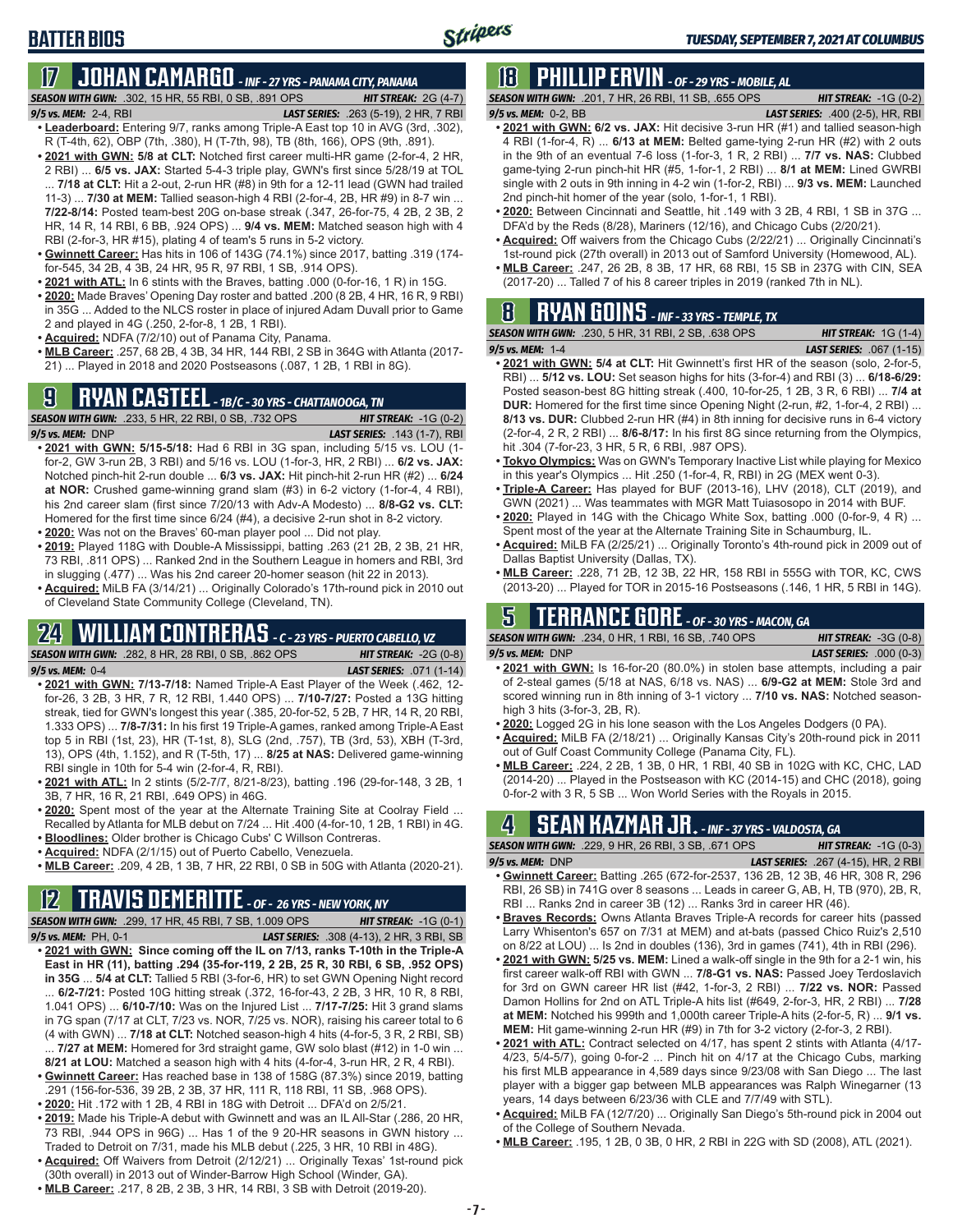# **BATTER BIOS**

# **17 JOHAN CAMARGO** *- INF - 27 YRS - PANAMA CITY, PANAMA*

*SEASON WITH GWN:*.302, 15 HR, 55 RBI, 0 SB, .891 OPS *HIT STREAK:* 2G (4-7) *9/5 vs. MEM:* 2-4, RBI *LAST SERIES:* .263 (5-19), 2 HR, 7 RBI

- **• Leaderboard:** Entering 9/7, ranks among Triple-A East top 10 in AVG (3rd, .302), R (T-4th, 62), OBP (7th, .380), H (T-7th, 98), TB (8th, 166), OPS (9th, .891). **• 2021 with GWN: 5/8 at CLT:** Notched first career multi-HR game (2-for-4, 2 HR,
- 2 RBI) ... **6/5 vs. JAX:** Started 5-4-3 triple play, GWN's first since 5/28/19 at TOL ... **7/18 at CLT:** Hit a 2-out, 2-run HR (#8) in 9th for a 12-11 lead (GWN had trailed 11-3) ... **7/30 at MEM:** Tallied season-high 4 RBI (2-for-4, 2B, HR #9) in 8-7 win ... **7/22-8/14:** Posted team-best 20G on-base streak (.347, 26-for-75, 4 2B, 2 3B, 2 HR, 14 R, 14 RBI, 6 BB, .924 OPS) ... **9/4 vs. MEM:** Matched season high with 4 RBI (2-for-3, HR #15), plating 4 of team's 5 runs in 5-2 victory.
- **• Gwinnett Career:** Has hits in 106 of 143G (74.1%) since 2017, batting .319 (174 for-545, 34 2B, 4 3B, 24 HR, 95 R, 97 RBI, 1 SB, .914 OPS).
- **• 2021 with ATL:** In 6 stints with the Braves, batting .000 (0-for-16, 1 R) in 15G.
- **• 2020:** Made Braves' Opening Day roster and batted .200 (8 2B, 4 HR, 16 R, 9 RBI) in 35G ... Added to the NLCS roster in place of injured Adam Duvall prior to Game 2 and played in 4G (.250, 2-for-8, 1 2B, 1 RBI).
- **• Acquired:** NDFA (7/2/10) out of Panama City, Panama.
- **• MLB Career:** .257, 68 2B, 4 3B, 34 HR, 144 RBI, 2 SB in 364G with Atlanta (2017- 21) ... Played in 2018 and 2020 Postseasons (.087, 1 2B, 1 RBI in 8G).

## **9 RYAN CASTEEL** *- 1B/C - 30 YRS - CHATTANOOGA, TN*

*SEASON WITH GWN:*.233, 5 HR, 22 RBI, 0 SB, .732 OPS *HIT STREAK:* -1G (0-2) *9/5 vs. MEM:*DNP *LAST SERIES:* .143 (1-7), RBI

- **• 2021 with GWN: 5/15-5/18:** Had 6 RBI in 3G span, including 5/15 vs. LOU (1 for-2, GW 3-run 2B, 3 RBI) and 5/16 vs. LOU (1-for-3, HR, 2 RBI) ... **6/2 vs. JAX:** Notched pinch-hit 2-run double ... **6/3 vs. JAX:** Hit pinch-hit 2-run HR (#2) ... **6/24 at NOR:** Crushed game-winning grand slam (#3) in 6-2 victory (1-for-4, 4 RBI), his 2nd career slam (first since 7/20/13 with Adv-A Modesto) ... **8/8-G2 vs. CLT:** Homered for the first time since 6/24 (#4), a decisive 2-run shot in 8-2 victory.
- **• 2020:** Was not on the Braves' 60-man player pool ... Did not play.
- **• 2019:** Played 118G with Double-A Mississippi, batting .263 (21 2B, 2 3B, 21 HR, 73 RBI, .811 OPS) ... Ranked 2nd in the Southern League in homers and RBI, 3rd in slugging (.477) ... Was his 2nd career 20-homer season (hit 22 in 2013).
- **• Acquired:** MiLB FA (3/14/21) ... Originally Colorado's 17th-round pick in 2010 out of Cleveland State Community College (Cleveland, TN).

# **24 WILLIAM CONTRERAS** *- C - 23 YRS - PUERTO CABELLO, VZ*

*SEASON WITH GWN:*.282, 8 HR, 28 RBI, 0 SB, .862 OPS *HIT STREAK:* -2G (0-8) *9/5 vs. MEM:* 0-4 *LAST SERIES:* .071 (1-14)

- **• 2021 with GWN: 7/13-7/18:** Named Triple-A East Player of the Week (.462, 12 for-26, 3 2B, 3 HR, 7 R, 12 RBI, 1.440 OPS) ... **7/10-7/27:** Posted a 13G hitting streak, tied for GWN's longest this year (.385, 20-for-52, 5 2B, 7 HR, 14 R, 20 RBI, 1.333 OPS) ... **7/8-7/31:** In his first 19 Triple-A games, ranked among Triple-A East top 5 in RBI (1st, 23), HR (T-1st, 8), SLG (2nd, .757), TB (3rd, 53), XBH (T-3rd, 13), OPS (4th, 1.152), and R (T-5th, 17) ... **8/25 at NAS:** Delivered game-winning RBI single in 10th for 5-4 win (2-for-4, R, RBI).
- **• 2021 with ATL:** In 2 stints (5/2-7/7, 8/21-8/23), batting .196 (29-for-148, 3 2B, 1 3B, 7 HR, 16 R, 21 RBI, .649 OPS) in 46G.
- **• 2020:** Spent most of the year at the Alternate Training Site at Coolray Field ... Recalled by Atlanta for MLB debut on 7/24 ... Hit .400 (4-for-10, 1 2B, 1 RBI) in 4G.
- **• Bloodlines:** Older brother is Chicago Cubs' C Willson Contreras.
- **• Acquired:** NDFA (2/1/15) out of Puerto Cabello, Venezuela.
- **• MLB Career:** .209, 4 2B, 1 3B, 7 HR, 22 RBI, 0 SB in 50G with Atlanta (2020-21).

## **12 TRAVIS DEMERITTE** *- OF - 26 YRS - NEW YORK, NY*

*SEASON WITH GWN:*.299, 17 HR, 45 RBI, 7 SB, 1.009 OPS *HIT STREAK:* -1G (0-1) *9/5 vs. MEM:*PH, 0-1 *LAST SERIES:* .308 (4-13), 2 HR, 3 RBI, SB

- **• 2021 with GWN: Since coming off the IL on 7/13, ranks T-10th in the Triple-A East in HR (11), batting .294 (35-for-119, 2 2B, 25 R, 30 RBI, 6 SB, .952 OPS) in 35G** ... **5/4 at CLT:** Tallied 5 RBI (3-for-6, HR) to set GWN Opening Night record ... **6/2-7/21:** Posted 10G hitting streak (.372, 16-for-43, 2 2B, 3 HR, 10 R, 8 RBI, 1.041 OPS) ... **6/10-7/10:** Was on the Injured List ... **7/17-7/25:** Hit 3 grand slams in 7G span (7/17 at CLT, 7/23 vs. NOR, 7/25 vs. NOR), raising his career total to 6 (4 with GWN) ... **7/18 at CLT:** Notched season-high 4 hits (4-for-5, 3 R, 2 RBI, SB) ... **7/27 at MEM:** Homered for 3rd straight game, GW solo blast (#12) in 1-0 win ...
- **8/21 at LOU:** Matched a season high with 4 hits (4-for-4, 3-run HR, 2 R, 4 RBI). **• Gwinnett Career:** Has reached base in 138 of 158G (87.3%) since 2019, batting .291 (156-for-536, 39 2B, 2 3B, 37 HR, 111 R, 118 RBI, 11 SB, .968 OPS).
- **• 2020:** Hit .172 with 1 2B, 4 RBI in 18G with Detroit ... DFA'd on 2/5/21.
- **• 2019:** Made his Triple-A debut with Gwinnett and was an IL All-Star (.286, 20 HR, 73 RBI, .944 OPS in 96G) ... Has 1 of the 9 20-HR seasons in GWN history Traded to Detroit on 7/31, made his MLB debut (.225, 3 HR, 10 RBI in 48G).
- **• Acquired:** Off Waivers from Detroit (2/12/21) ... Originally Texas' 1st-round pick (30th overall) in 2013 out of Winder-Barrow High School (Winder, GA).
- **• MLB Career:** .217, 8 2B, 2 3B, 3 HR, 14 RBI, 3 SB with Detroit (2019-20).

# **18 PHILLIP ERVIN** *- OF - 29 YRS - MOBILE, AL*

*SEASON WITH GWN:*.201, 7 HR, 26 RBI, 11 SB, .655 OPS *HIT STREAK:* -1G (0-2) *9/5 vs. MEM:*0-2, BB *LAST SERIES:* .400 (2-5), HR, RBI

- **• 2021 with GWN: 6/2 vs. JAX:** Hit decisive 3-run HR (#1) and tallied season-high 4 RBI (1-for-4, R) ... **6/13 at MEM:** Belted game-tying 2-run HR (#2) with 2 outs in the 9th of an eventual 7-6 loss (1-for-3, 1 R, 2 RBI) ... **7/7 vs. NAS:** Clubbed game-tying 2-run pinch-hit HR (#5, 1-for-1, 2 RBI) ... **8/1 at MEM:** Lined GWRBI single with 2 outs in 9th inning in 4-2 win (1-for-2, RBI) ... **9/3 vs. MEM:** Launched 2nd pinch-hit homer of the year (solo, 1-for-1, 1 RBI).
- **• 2020:** Between Cincinnati and Seattle, hit .149 with 3 2B, 4 RBI, 1 SB in 37G ... DFA'd by the Reds (8/28), Mariners (12/16), and Chicago Cubs (2/20/21).
- **• Acquired:** Off waivers from the Chicago Cubs (2/22/21) ... Originally Cincinnati's 1st-round pick (27th overall) in 2013 out of Samford University (Homewood, AL).
- **• MLB Career:** .247, 26 2B, 8 3B, 17 HR, 68 RBI, 15 SB in 237G with CIN, SEA (2017-20) ... Talled 7 of his 8 career triples in 2019 (ranked 7th in NL).

## **8 RYAN GOINS** *- INF - 33 YRS - TEMPLE, TX*

| <b>SEASON WITH GWN:</b> .230. 5 HR. 31 RBI. 2 SB. .638 OPS .                       | <b>HIT STREAK:</b> $1G(1-4)$    |
|------------------------------------------------------------------------------------|---------------------------------|
| 9/5 vs. MEM: 1-4                                                                   | <b>LAST SERIES:</b> .067 (1-15) |
| • 2021 with GWN: 5/4 at CLT: Hit Gwinnett's first HR of the season (solo, 2-for-5, |                                 |

- RBI) ... **5/12 vs. LOU:** Set season highs for hits (3-for-4) and RBI (3) ... **6/18-6/29:** Posted season-best 8G hitting streak (.400, 10-for-25, 1 2B, 3 R, 6 RBI) ... **7/4 at DUR:** Homered for the first time since Opening Night (2-run, #2, 1-for-4, 2 RBI) ... **8/13 vs. DUR:** Clubbed 2-run HR (#4) in 8th inning for decisive runs in 6-4 victory (2-for-4, 2 R, 2 RBI) ... **8/6-8/17:** In his first 8G since returning from the Olympics, hit .304 (7-for-23, 3 HR, 5 R, 6 RBI, .987 OPS).
- **• Tokyo Olympics:** Was on GWN's Temporary Inactive List while playing for Mexico in this year's Olympics ... Hit .250 (1-for-4, R, RBI) in 2G (MEX went 0-3).
- **• Triple-A Career:** Has played for BUF (2013-16), LHV (2018), CLT (2019), and GWN (2021) ... Was teammates with MGR Matt Tuiasosopo in 2014 with BUF.
- **• 2020:** Played in 14G with the Chicago White Sox, batting .000 (0-for-9, 4 R) ... Spent most of the year at the Alternate Training Site in Schaumburg, IL.
- **• Acquired:** MiLB FA (2/25/21) ... Originally Toronto's 4th-round pick in 2009 out of Dallas Baptist University (Dallas, TX).
- **• MLB Career:** .228, 71 2B, 12 3B, 22 HR, 158 RBI in 555G with TOR, KC, CWS (2013-20) ... Played for TOR in 2015-16 Postseasons (.146, 1 HR, 5 RBI in 14G).

#### **5 TERRANCE GORE** *- OF - 30 YRS - MACON, GA SEASON WITH GWN:*.234, 0 HR, 1 RBI, 16 SB, .740 OPS *HIT STREAK:* -3G (0-8)

*9/5 vs. MEM:*DNP *LAST SERIES:* .000 (0-3)

- **• 2021 with GWN:** Is 16-for-20 (80.0%) in stolen base attempts, including a pair of 2-steal games (5/18 at NAS, 6/18 vs. NAS) ... **6/9-G2 at MEM:** Stole 3rd and scored winning run in 8th inning of 3-1 victory ... **7/10 vs. NAS:** Notched seasonhigh 3 hits (3-for-3, 2B, R).
- **• 2020:** Logged 2G in his lone season with the Los Angeles Dodgers (0 PA).
- **• Acquired:** MiLB FA (2/18/21) ... Originally Kansas City's 20th-round pick in 2011 out of Gulf Coast Community College (Panama City, FL).
- **• MLB Career:** .224, 2 2B, 1 3B, 0 HR, 1 RBI, 40 SB in 102G with KC, CHC, LAD (2014-20) ... Played in the Postseason with KC (2014-15) and CHC (2018), going 0-for-2 with 3 R, 5 SB ... Won World Series with the Royals in 2015.

# **4 SEAN KAZMAR JR.** *- INF - 37 YRS - VALDOSTA, GA*

*SEASON WITH GWN:*.229, 9 HR, 26 RBI, 3 SB, .671 OPS *HIT STREAK:* -1G (0-3) *9/5 vs. MEM:*DNP *LAST SERIES:* .267 (4-15), HR, 2 RBI

- **• Gwinnett Career:** Batting .265 (672-for-2537, 136 2B, 12 3B, 46 HR, 308 R, 296 RBI, 26 SB) in 741G over 8 seasons ... Leads in career G, AB, H, TB (970), 2B, R, RBI ... Ranks 2nd in career 3B (12) ... Ranks 3rd in career HR (46).
- **• Braves Records:** Owns Atlanta Braves Triple-A records for career hits (passed Larry Whisenton's 657 on 7/31 at MEM) and at-bats (passed Chico Ruiz's 2,510 on 8/22 at LOU) ... Is 2nd in doubles (136), 3rd in games (741), 4th in RBI (296).
- **• 2021 with GWN: 5/25 vs. MEM:** Lined a walk-off single in the 9th for a 2-1 win, his first career walk-off RBI with GWN ... **7/8-G1 vs. NAS:** Passed Joey Terdoslavich for 3rd on GWN career HR list (#42, 1-for-3, 2 RBI) ... **7/22 vs. NOR:** Passed Damon Hollins for 2nd on ATL Triple-A hits list (#649, 2-for-3, HR, 2 RBI) ... **7/28 at MEM:** Notched his 999th and 1,000th career Triple-A hits (2-for-5, R) ... **9/1 vs. MEM:** Hit game-winning 2-run HR (#9) in 7th for 3-2 victory (2-for-3, 2 RBI).
- **• 2021 with ATL:** Contract selected on 4/17, has spent 2 stints with Atlanta (4/17- 4/23, 5/4-5/7), going 0-for-2 ... Pinch hit on 4/17 at the Chicago Cubs, marking his first MLB appearance in 4,589 days since 9/23/08 with San Diego ... The last player with a bigger gap between MLB appearances was Ralph Winegarner (13 years, 14 days between 6/23/36 with CLE and 7/7/49 with STL).
- **• Acquired:** MiLB FA (12/7/20) ... Originally San Diego's 5th-round pick in 2004 out of the College of Southern Nevada.
- **• MLB Career:** .195, 1 2B, 0 3B, 0 HR, 2 RBI in 22G with SD (2008), ATL (2021).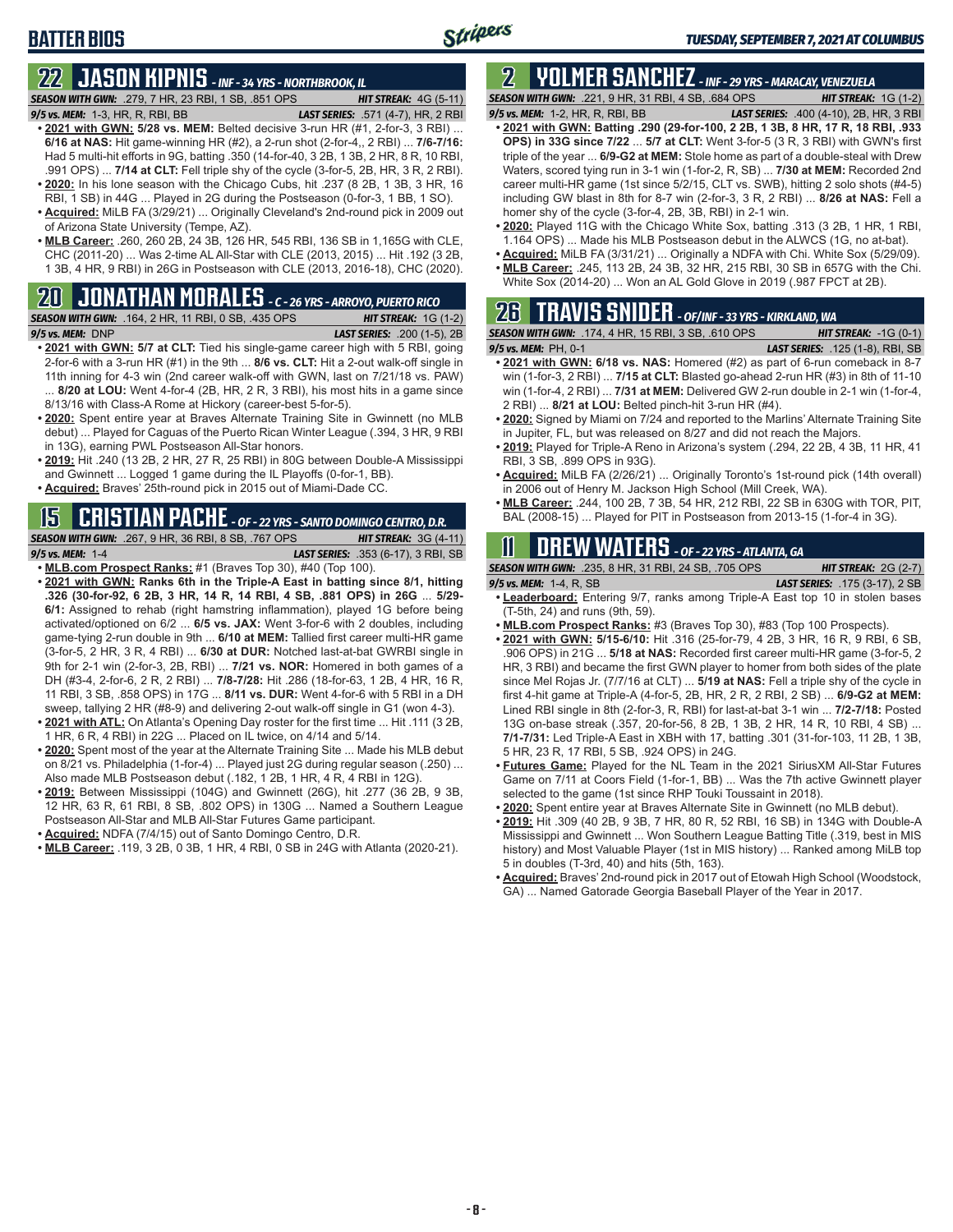# **22 JASON KIPNIS** *- INF - 34 YRS - NORTHBROOK, IL*

*SEASON WITH GWN:*.279, 7 HR, 23 RBI, 1 SB, .851 OPS *HIT STREAK:* 4G (5-11)

**BATTER BIOS**

- *9/5 vs. MEM:*1-3, HR, R, RBI, BB *LAST SERIES:* .571 (4-7), HR, 2 RBI
- **• 2021 with GWN: 5/28 vs. MEM:** Belted decisive 3-run HR (#1, 2-for-3, 3 RBI) ... **6/16 at NAS:** Hit game-winning HR (#2), a 2-run shot (2-for-4,, 2 RBI) ... **7/6-7/16:** Had 5 multi-hit efforts in 9G, batting .350 (14-for-40, 3 2B, 1 3B, 2 HR, 8 R, 10 RBI, .991 OPS) ... **7/14 at CLT:** Fell triple shy of the cycle (3-for-5, 2B, HR, 3 R, 2 RBI). **• 2020:** In his lone season with the Chicago Cubs, hit .237 (8 2B, 1 3B, 3 HR, 16
- RBI, 1 SB) in 44G ... Played in 2G during the Postseason (0-for-3, 1 BB, 1 SO). **• Acquired:** MiLB FA (3/29/21) ... Originally Cleveland's 2nd-round pick in 2009 out
- of Arizona State University (Tempe, AZ).
- **• MLB Career:** .260, 260 2B, 24 3B, 126 HR, 545 RBI, 136 SB in 1,165G with CLE, CHC (2011-20) ... Was 2-time AL All-Star with CLE (2013, 2015) ... Hit .192 (3 2B, 1 3B, 4 HR, 9 RBI) in 26G in Postseason with CLE (2013, 2016-18), CHC (2020).

# **20 JONATHAN MORALES** *- C - 26 YRS - ARROYO, PUERTO RICO*

*SEASON WITH GWN:*.164, 2 HR, 11 RBI, 0 SB, .435 OPS *HIT STREAK:* 1G (1-2) *9/5 vs. MEM:*DNP *LAST SERIES:* .200 (1-5), 2B

- **• 2021 with GWN: 5/7 at CLT:** Tied his single-game career high with 5 RBI, going 2-for-6 with a 3-run HR (#1) in the 9th ... **8/6 vs. CLT:** Hit a 2-out walk-off single in 11th inning for 4-3 win (2nd career walk-off with GWN, last on 7/21/18 vs. PAW) ... **8/20 at LOU:** Went 4-for-4 (2B, HR, 2 R, 3 RBI), his most hits in a game since 8/13/16 with Class-A Rome at Hickory (career-best 5-for-5).
- **• 2020:** Spent entire year at Braves Alternate Training Site in Gwinnett (no MLB debut) ... Played for Caguas of the Puerto Rican Winter League (.394, 3 HR, 9 RBI in 13G), earning PWL Postseason All-Star honors.
- **• 2019:** Hit .240 (13 2B, 2 HR, 27 R, 25 RBI) in 80G between Double-A Mississippi and Gwinnett ... Logged 1 game during the IL Playoffs (0-for-1, BB).
- **• Acquired:** Braves' 25th-round pick in 2015 out of Miami-Dade CC.

## **15 CRISTIAN PACHE** *- OF - 22 YRS - SANTO DOMINGO CENTRO, D.R.*

- *SEASON WITH GWN:*.267, 9 HR, 36 RBI, 8 SB, .767 OPS *HIT STREAK:* 3G (4-11) *9/5 vs. MEM:* 1-4 *LAST SERIES:* .353 (6-17), 3 RBI, SB
- **• MLB.com Prospect Ranks:** #1 (Braves Top 30), #40 (Top 100).
- **• 2021 with GWN: Ranks 6th in the Triple-A East in batting since 8/1, hitting .326 (30-for-92, 6 2B, 3 HR, 14 R, 14 RBI, 4 SB, .881 OPS) in 26G** ... **5/29- 6/1:** Assigned to rehab (right hamstring inflammation), played 1G before being activated/optioned on 6/2 ... **6/5 vs. JAX:** Went 3-for-6 with 2 doubles, including game-tying 2-run double in 9th ... **6/10 at MEM:** Tallied first career multi-HR game (3-for-5, 2 HR, 3 R, 4 RBI) ... **6/30 at DUR:** Notched last-at-bat GWRBI single in 9th for 2-1 win (2-for-3, 2B, RBI) ... **7/21 vs. NOR:** Homered in both games of a DH (#3-4, 2-for-6, 2 R, 2 RBI) ... **7/8-7/28:** Hit .286 (18-for-63, 1 2B, 4 HR, 16 R, 11 RBI, 3 SB, .858 OPS) in 17G ... **8/11 vs. DUR:** Went 4-for-6 with 5 RBI in a DH sweep, tallying 2 HR (#8-9) and delivering 2-out walk-off single in G1 (won 4-3).
- **• 2021 with ATL:** On Atlanta's Opening Day roster for the first time ... Hit .111 (3 2B, 1 HR, 6 R, 4 RBI) in 22G ... Placed on IL twice, on 4/14 and 5/14.
- **• 2020:** Spent most of the year at the Alternate Training Site ... Made his MLB debut on 8/21 vs. Philadelphia (1-for-4) ... Played just 2G during regular season (.250) ... Also made MLB Postseason debut (.182, 1 2B, 1 HR, 4 R, 4 RBI in 12G).
- **• 2019:** Between Mississippi (104G) and Gwinnett (26G), hit .277 (36 2B, 9 3B, 12 HR, 63 R, 61 RBI, 8 SB, .802 OPS) in 130G ... Named a Southern League Postseason All-Star and MLB All-Star Futures Game participant.
- **• Acquired:** NDFA (7/4/15) out of Santo Domingo Centro, D.R.
- **• MLB Career:** .119, 3 2B, 0 3B, 1 HR, 4 RBI, 0 SB in 24G with Atlanta (2020-21).

# **2 YOLMER SANCHEZ** *- INF - 29 YRS - MARACAY, VENEZUELA*

*SEASON WITH GWN:*.221, 9 HR, 31 RBI, 4 SB, .684 OPS *HIT STREAK:* 1G (1-2)

- *9/5 vs. MEM:*1-2, HR, R, RBI, BB *LAST SERIES:* .400 (4-10), 2B, HR, 3 RBI **• 2021 with GWN: Batting .290 (29-for-100, 2 2B, 1 3B, 8 HR, 17 R, 18 RBI, .933 OPS) in 33G since 7/22** ... **5/7 at CLT:** Went 3-for-5 (3 R, 3 RBI) with GWN's first triple of the year ... **6/9-G2 at MEM:** Stole home as part of a double-steal with Drew Waters, scored tying run in 3-1 win (1-for-2, R, SB) ... **7/30 at MEM:** Recorded 2nd career multi-HR game (1st since 5/2/15, CLT vs. SWB), hitting 2 solo shots (#4-5) including GW blast in 8th for 8-7 win (2-for-3, 3 R, 2 RBI) ... **8/26 at NAS:** Fell a homer shy of the cycle (3-for-4, 2B, 3B, RBI) in 2-1 win.
- **• 2020:** Played 11G with the Chicago White Sox, batting .313 (3 2B, 1 HR, 1 RBI, 1.164 OPS) ... Made his MLB Postseason debut in the ALWCS (1G, no at-bat).
- **• Acquired:** MiLB FA (3/31/21) ... Originally a NDFA with Chi. White Sox (5/29/09). **• MLB Career:** .245, 113 2B, 24 3B, 32 HR, 215 RBI, 30 SB in 657G with the Chi.
- White Sox (2014-20) ... Won an AL Gold Glove in 2019 (.987 FPCT at 2B).

# **26 TRAVIS SNIDER** *- OF/INF - 33 YRS - KIRKLAND, WA*

| <b>SEASON WITH GWN: .174, 4 HR, 15 RBI, 3 SB, .610 OPS</b> | <b>HIT STREAK:</b> $-1G(0-1)$           |
|------------------------------------------------------------|-----------------------------------------|
| $9/5$ vs. MEM: PH, 0-1                                     | <b>LAST SERIES:</b> .125 (1-8), RBI, SB |

- **• 2021 with GWN: 6/18 vs. NAS:** Homered (#2) as part of 6-run comeback in 8-7 win (1-for-3, 2 RBI) ... **7/15 at CLT:** Blasted go-ahead 2-run HR (#3) in 8th of 11-10 win (1-for-4, 2 RBI) ... **7/31 at MEM:** Delivered GW 2-run double in 2-1 win (1-for-4, 2 RBI) ... **8/21 at LOU:** Belted pinch-hit 3-run HR (#4).
- **• 2020:** Signed by Miami on 7/24 and reported to the Marlins' Alternate Training Site in Jupiter, FL, but was released on 8/27 and did not reach the Majors.
- **• 2019:** Played for Triple-A Reno in Arizona's system (.294, 22 2B, 4 3B, 11 HR, 41 RBI, 3 SB, .899 OPS in 93G).
- **• Acquired:** MiLB FA (2/26/21) ... Originally Toronto's 1st-round pick (14th overall) in 2006 out of Henry M. Jackson High School (Mill Creek, WA).
- **• MLB Career:** .244, 100 2B, 7 3B, 54 HR, 212 RBI, 22 SB in 630G with TOR, PIT, BAL (2008-15) ... Played for PIT in Postseason from 2013-15 (1-for-4 in 3G).

# **11 Drew WATERS** *- OF - 22 YRS - ATLANTA, GA*

*9/5 vs. MEM:*1-4, R, SB *LAST SERIES:* .175 (3-17), 2 SB

- *SEASON WITH GWN:*.235, 8 HR, 31 RBI, 24 SB, .705 OPS *HIT STREAK:* 2G (2-7)
- **• Leaderboard:** Entering 9/7, ranks among Triple-A East top 10 in stolen bases (T-5th, 24) and runs (9th, 59).
- **• MLB.com Prospect Ranks:** #3 (Braves Top 30), #83 (Top 100 Prospects).
- **• 2021 with GWN: 5/15-6/10:** Hit .316 (25-for-79, 4 2B, 3 HR, 16 R, 9 RBI, 6 SB, .906 OPS) in 21G ... **5/18 at NAS:** Recorded first career multi-HR game (3-for-5, 2 HR, 3 RBI) and became the first GWN player to homer from both sides of the plate since Mel Rojas Jr. (7/7/16 at CLT) ... **5/19 at NAS:** Fell a triple shy of the cycle in first 4-hit game at Triple-A (4-for-5, 2B, HR, 2 R, 2 RBI, 2 SB) ... **6/9-G2 at MEM:** Lined RBI single in 8th (2-for-3, R, RBI) for last-at-bat 3-1 win ... **7/2-7/18:** Posted 13G on-base streak (.357, 20-for-56, 8 2B, 1 3B, 2 HR, 14 R, 10 RBI, 4 SB) ... **7/1-7/31:** Led Triple-A East in XBH with 17, batting .301 (31-for-103, 11 2B, 1 3B, 5 HR, 23 R, 17 RBI, 5 SB, .924 OPS) in 24G.
- **• Futures Game:** Played for the NL Team in the 2021 SiriusXM All-Star Futures Game on 7/11 at Coors Field (1-for-1, BB) ... Was the 7th active Gwinnett player selected to the game (1st since RHP Touki Toussaint in 2018).
- **• 2020:** Spent entire year at Braves Alternate Site in Gwinnett (no MLB debut).
- **• 2019:** Hit .309 (40 2B, 9 3B, 7 HR, 80 R, 52 RBI, 16 SB) in 134G with Double-A Mississippi and Gwinnett ... Won Southern League Batting Title (.319, best in MIS history) and Most Valuable Player (1st in MIS history) ... Ranked among MiLB top 5 in doubles (T-3rd, 40) and hits (5th, 163).
- **• Acquired:** Braves' 2nd-round pick in 2017 out of Etowah High School (Woodstock, GA) ... Named Gatorade Georgia Baseball Player of the Year in 2017.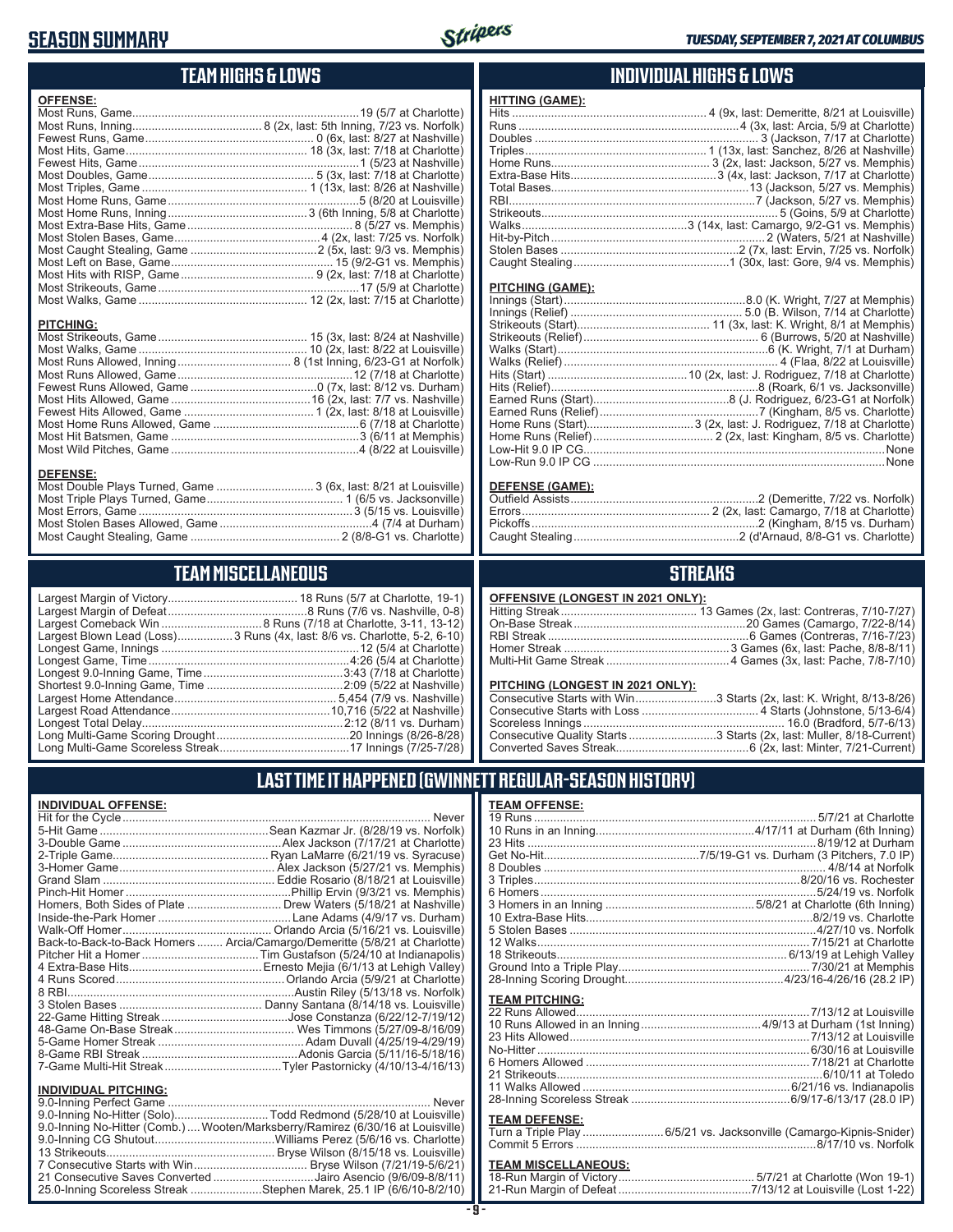## **SEASON SUMMARY**



## **TEAM HIGHS & LOWS**

| <b>OFFENSE:</b>  |  |
|------------------|--|
|                  |  |
|                  |  |
|                  |  |
|                  |  |
|                  |  |
|                  |  |
|                  |  |
|                  |  |
|                  |  |
|                  |  |
|                  |  |
|                  |  |
|                  |  |
|                  |  |
|                  |  |
|                  |  |
| <b>PITCHING:</b> |  |
|                  |  |

# **TEAM MISCELLANEOUS**

Most Caught Stealing, Game .............................................. 2 (8/8-G1 vs. Charlotte)

| Largest Blown Lead (Loss) 3 Runs (4x, last: 8/6 vs. Charlotte, 5-2, 6-10) |
|---------------------------------------------------------------------------|
|                                                                           |
|                                                                           |
|                                                                           |
|                                                                           |
|                                                                           |
|                                                                           |
|                                                                           |
|                                                                           |
|                                                                           |

### **INDIVIDUAL HIGHS & LOWS**

| <b>HITTING (GAME):</b> |  |
|------------------------|--|
|                        |  |
|                        |  |
|                        |  |
|                        |  |
|                        |  |
|                        |  |
|                        |  |
|                        |  |
|                        |  |
|                        |  |
|                        |  |
|                        |  |
|                        |  |

#### **PITCHING (GAME):**

#### **DEFENSE (GAME):**

## **STREAKS**

#### **OFFENSIVE (LONGEST IN 2021 ONLY):**

#### **PITCHING (LONGEST IN 2021 ONLY):**

| Consecutive Starts with Win3 Starts (2x, last: K. Wright, 8/13-8/26) |  |
|----------------------------------------------------------------------|--|
|                                                                      |  |
|                                                                      |  |
| Consecutive Quality Starts 3 Starts (2x, last: Muller, 8/18-Current) |  |
|                                                                      |  |
|                                                                      |  |

## **LAST TIME IT HAPPENED (GWINNETT REGULAR-SEASON HISTORY)**

#### **INDIVIDUAL OFFENSE:**

|                             | Homers, Both Sides of Plate  Drew Waters (5/18/21 at Nashville)            |
|-----------------------------|----------------------------------------------------------------------------|
|                             |                                                                            |
|                             |                                                                            |
|                             | Back-to-Back-to-Back Homers  Arcia/Camargo/Demeritte (5/8/21 at Charlotte) |
|                             |                                                                            |
|                             |                                                                            |
|                             |                                                                            |
|                             |                                                                            |
|                             |                                                                            |
|                             |                                                                            |
|                             |                                                                            |
|                             |                                                                            |
|                             |                                                                            |
|                             |                                                                            |
| <b>INDIVIDUAL PITCHING:</b> |                                                                            |
| 9 0-Inning Perfect Game     | Never                                                                      |

| 1110111007111101111101                                                         |  |
|--------------------------------------------------------------------------------|--|
|                                                                                |  |
| 9.0-Inning No-Hitter (Solo)Todd Redmond (5/28/10 at Louisville)                |  |
| 9.0-Inning No-Hitter (Comb.) Wooten/Marksberry/Ramirez (6/30/16 at Louisville) |  |
|                                                                                |  |
|                                                                                |  |
|                                                                                |  |
| 21 Consecutive Saves Converted Jairo Asencio (9/6/09-8/8/11)                   |  |
| 25.0-Inning Scoreless Streak Stephen Marek, 25.1 IP (6/6/10-8/2/10)            |  |
|                                                                                |  |

#### **TEAM OFFENSE:**

| <u>ILAM VII LIVUL.</u> |                                                                     |
|------------------------|---------------------------------------------------------------------|
|                        |                                                                     |
|                        |                                                                     |
|                        |                                                                     |
|                        |                                                                     |
|                        |                                                                     |
|                        |                                                                     |
|                        |                                                                     |
|                        |                                                                     |
|                        |                                                                     |
|                        |                                                                     |
|                        |                                                                     |
|                        |                                                                     |
|                        |                                                                     |
|                        |                                                                     |
|                        |                                                                     |
| <b>TEAM PITCHING:</b>  |                                                                     |
|                        |                                                                     |
|                        |                                                                     |
|                        |                                                                     |
|                        |                                                                     |
|                        |                                                                     |
|                        |                                                                     |
|                        |                                                                     |
|                        |                                                                     |
|                        |                                                                     |
| <b>TEAM DEFENSE:</b>   |                                                                     |
|                        | Turn a Triple Play  6/5/21 vs. Jacksonville (Camargo-Kipnis-Snider) |
|                        |                                                                     |

## **TEAM MISCELLANEOUS:**<br>18-Run Margin of Victory.....

| 21-Run Margin of Defeat…………………………………7/13/12 at Louisville (Lost 1-22) |  |  |
|-----------------------------------------------------------------------|--|--|